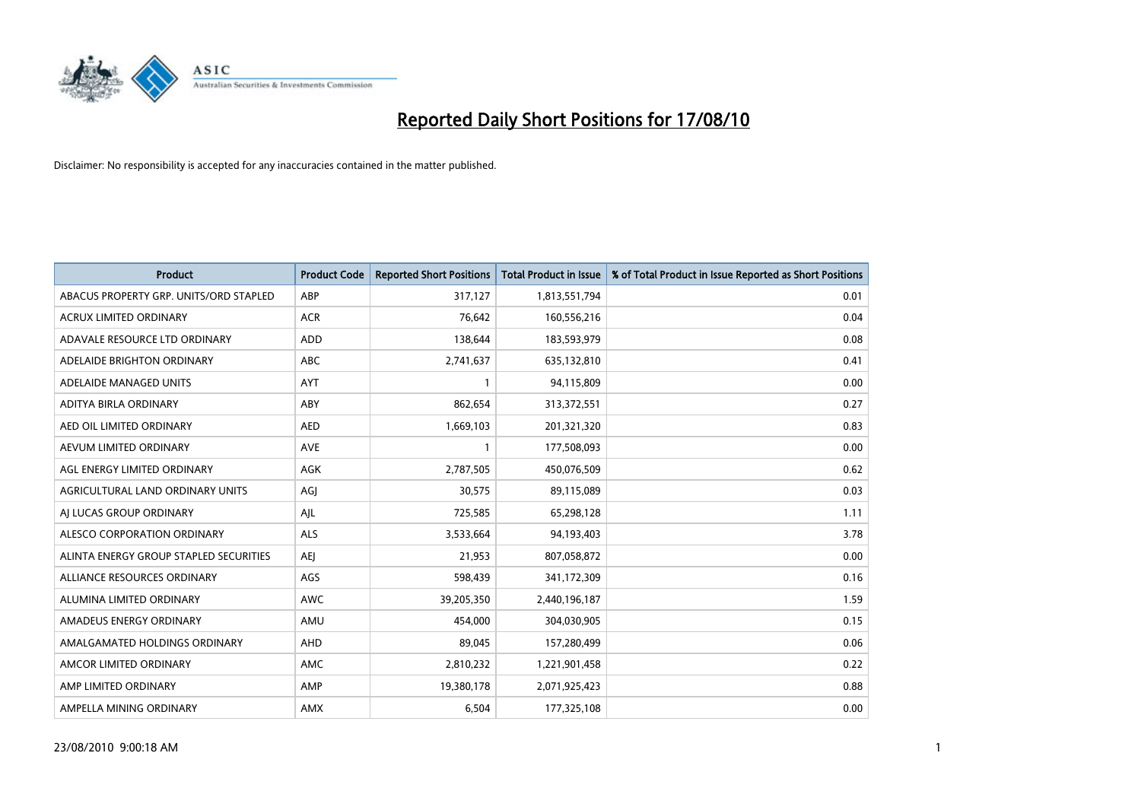

| <b>Product</b>                         | <b>Product Code</b> | <b>Reported Short Positions</b> | <b>Total Product in Issue</b> | % of Total Product in Issue Reported as Short Positions |
|----------------------------------------|---------------------|---------------------------------|-------------------------------|---------------------------------------------------------|
| ABACUS PROPERTY GRP. UNITS/ORD STAPLED | ABP                 | 317,127                         | 1,813,551,794                 | 0.01                                                    |
| ACRUX LIMITED ORDINARY                 | <b>ACR</b>          | 76,642                          | 160,556,216                   | 0.04                                                    |
| ADAVALE RESOURCE LTD ORDINARY          | ADD                 | 138,644                         | 183,593,979                   | 0.08                                                    |
| ADELAIDE BRIGHTON ORDINARY             | <b>ABC</b>          | 2,741,637                       | 635,132,810                   | 0.41                                                    |
| ADELAIDE MANAGED UNITS                 | <b>AYT</b>          |                                 | 94,115,809                    | 0.00                                                    |
| ADITYA BIRLA ORDINARY                  | ABY                 | 862,654                         | 313,372,551                   | 0.27                                                    |
| AED OIL LIMITED ORDINARY               | <b>AED</b>          | 1,669,103                       | 201,321,320                   | 0.83                                                    |
| AEVUM LIMITED ORDINARY                 | <b>AVE</b>          |                                 | 177,508,093                   | 0.00                                                    |
| AGL ENERGY LIMITED ORDINARY            | AGK                 | 2,787,505                       | 450,076,509                   | 0.62                                                    |
| AGRICULTURAL LAND ORDINARY UNITS       | AGJ                 | 30,575                          | 89,115,089                    | 0.03                                                    |
| AJ LUCAS GROUP ORDINARY                | AJL                 | 725,585                         | 65,298,128                    | 1.11                                                    |
| ALESCO CORPORATION ORDINARY            | <b>ALS</b>          | 3,533,664                       | 94,193,403                    | 3.78                                                    |
| ALINTA ENERGY GROUP STAPLED SECURITIES | <b>AEJ</b>          | 21,953                          | 807,058,872                   | 0.00                                                    |
| ALLIANCE RESOURCES ORDINARY            | AGS                 | 598,439                         | 341,172,309                   | 0.16                                                    |
| ALUMINA LIMITED ORDINARY               | <b>AWC</b>          | 39,205,350                      | 2,440,196,187                 | 1.59                                                    |
| AMADEUS ENERGY ORDINARY                | AMU                 | 454,000                         | 304,030,905                   | 0.15                                                    |
| AMALGAMATED HOLDINGS ORDINARY          | AHD                 | 89,045                          | 157,280,499                   | 0.06                                                    |
| AMCOR LIMITED ORDINARY                 | AMC                 | 2,810,232                       | 1,221,901,458                 | 0.22                                                    |
| AMP LIMITED ORDINARY                   | AMP                 | 19,380,178                      | 2,071,925,423                 | 0.88                                                    |
| AMPELLA MINING ORDINARY                | <b>AMX</b>          | 6,504                           | 177,325,108                   | 0.00                                                    |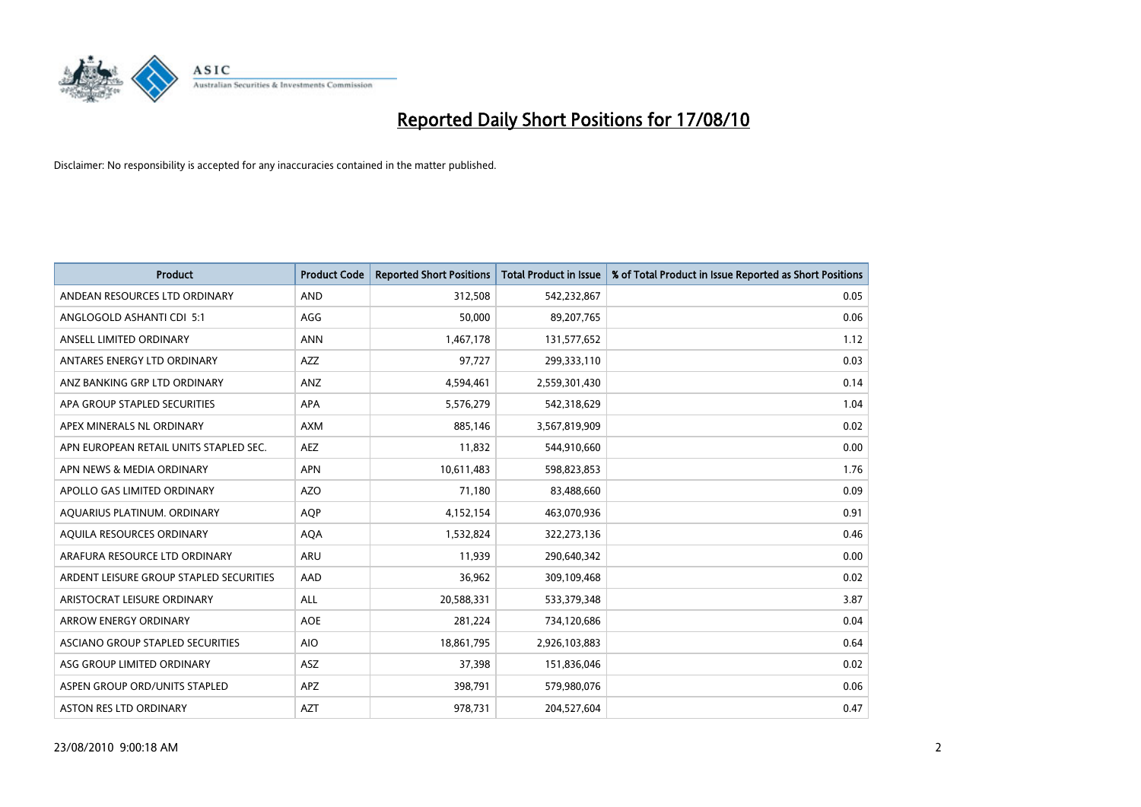

| <b>Product</b>                          | <b>Product Code</b> | <b>Reported Short Positions</b> | Total Product in Issue | % of Total Product in Issue Reported as Short Positions |
|-----------------------------------------|---------------------|---------------------------------|------------------------|---------------------------------------------------------|
| ANDEAN RESOURCES LTD ORDINARY           | <b>AND</b>          | 312,508                         | 542,232,867            | 0.05                                                    |
| ANGLOGOLD ASHANTI CDI 5:1               | AGG                 | 50,000                          | 89,207,765             | 0.06                                                    |
| ANSELL LIMITED ORDINARY                 | <b>ANN</b>          | 1,467,178                       | 131,577,652            | 1.12                                                    |
| ANTARES ENERGY LTD ORDINARY             | <b>AZZ</b>          | 97,727                          | 299,333,110            | 0.03                                                    |
| ANZ BANKING GRP LTD ORDINARY            | ANZ                 | 4,594,461                       | 2,559,301,430          | 0.14                                                    |
| APA GROUP STAPLED SECURITIES            | <b>APA</b>          | 5,576,279                       | 542,318,629            | 1.04                                                    |
| APEX MINERALS NL ORDINARY               | <b>AXM</b>          | 885.146                         | 3,567,819,909          | 0.02                                                    |
| APN EUROPEAN RETAIL UNITS STAPLED SEC.  | <b>AEZ</b>          | 11,832                          | 544,910,660            | 0.00                                                    |
| APN NEWS & MEDIA ORDINARY               | APN                 | 10,611,483                      | 598,823,853            | 1.76                                                    |
| APOLLO GAS LIMITED ORDINARY             | <b>AZO</b>          | 71,180                          | 83,488,660             | 0.09                                                    |
| AQUARIUS PLATINUM. ORDINARY             | AQP                 | 4,152,154                       | 463,070,936            | 0.91                                                    |
| AQUILA RESOURCES ORDINARY               | <b>AQA</b>          | 1,532,824                       | 322,273,136            | 0.46                                                    |
| ARAFURA RESOURCE LTD ORDINARY           | <b>ARU</b>          | 11,939                          | 290,640,342            | 0.00                                                    |
| ARDENT LEISURE GROUP STAPLED SECURITIES | AAD                 | 36,962                          | 309,109,468            | 0.02                                                    |
| ARISTOCRAT LEISURE ORDINARY             | <b>ALL</b>          | 20,588,331                      | 533,379,348            | 3.87                                                    |
| ARROW ENERGY ORDINARY                   | <b>AOE</b>          | 281,224                         | 734,120,686            | 0.04                                                    |
| ASCIANO GROUP STAPLED SECURITIES        | <b>AIO</b>          | 18,861,795                      | 2,926,103,883          | 0.64                                                    |
| ASG GROUP LIMITED ORDINARY              | <b>ASZ</b>          | 37,398                          | 151,836,046            | 0.02                                                    |
| ASPEN GROUP ORD/UNITS STAPLED           | <b>APZ</b>          | 398,791                         | 579,980,076            | 0.06                                                    |
| <b>ASTON RES LTD ORDINARY</b>           | <b>AZT</b>          | 978.731                         | 204,527,604            | 0.47                                                    |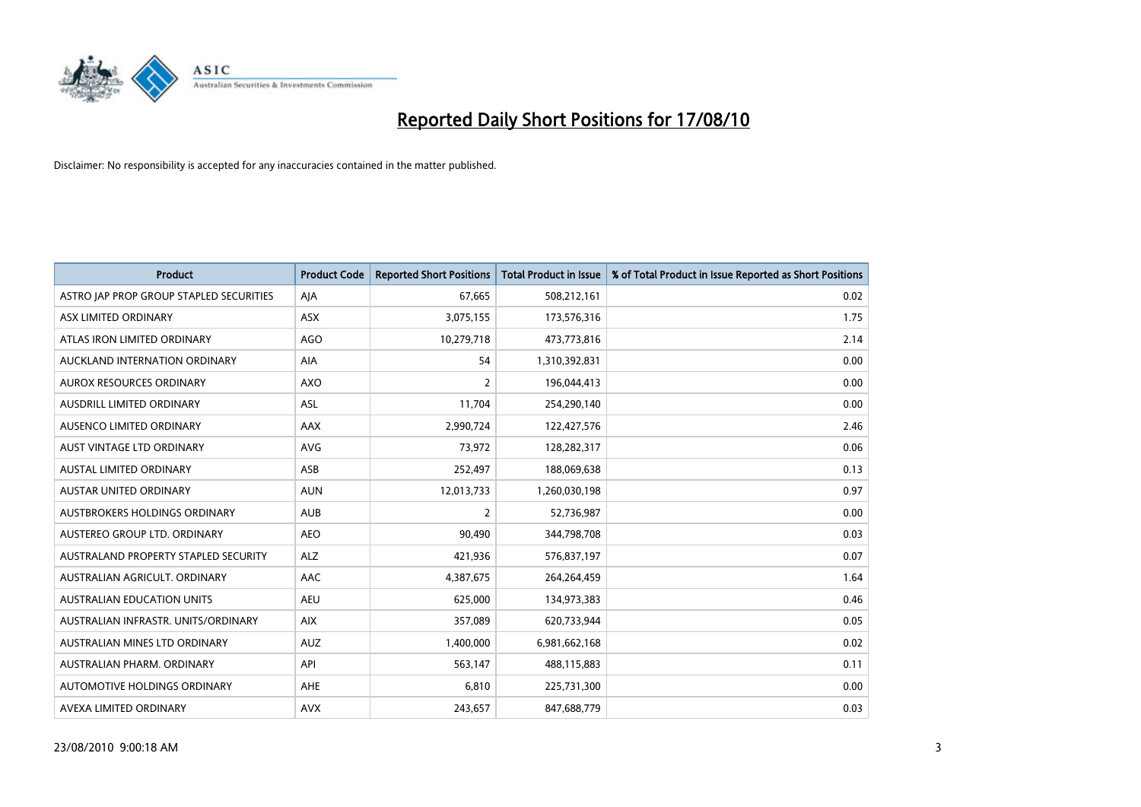

| <b>Product</b>                          | <b>Product Code</b> | <b>Reported Short Positions</b> | <b>Total Product in Issue</b> | % of Total Product in Issue Reported as Short Positions |
|-----------------------------------------|---------------------|---------------------------------|-------------------------------|---------------------------------------------------------|
| ASTRO JAP PROP GROUP STAPLED SECURITIES | AJA                 | 67.665                          | 508,212,161                   | 0.02                                                    |
| ASX LIMITED ORDINARY                    | <b>ASX</b>          | 3,075,155                       | 173,576,316                   | 1.75                                                    |
| ATLAS IRON LIMITED ORDINARY             | <b>AGO</b>          | 10,279,718                      | 473,773,816                   | 2.14                                                    |
| AUCKLAND INTERNATION ORDINARY           | AIA                 | 54                              | 1,310,392,831                 | 0.00                                                    |
| AUROX RESOURCES ORDINARY                | AXO                 | 2                               | 196,044,413                   | 0.00                                                    |
| <b>AUSDRILL LIMITED ORDINARY</b>        | ASL                 | 11,704                          | 254,290,140                   | 0.00                                                    |
| AUSENCO LIMITED ORDINARY                | <b>AAX</b>          | 2,990,724                       | 122,427,576                   | 2.46                                                    |
| AUST VINTAGE LTD ORDINARY               | <b>AVG</b>          | 73.972                          | 128,282,317                   | 0.06                                                    |
| <b>AUSTAL LIMITED ORDINARY</b>          | ASB                 | 252,497                         | 188,069,638                   | 0.13                                                    |
| <b>AUSTAR UNITED ORDINARY</b>           | <b>AUN</b>          | 12,013,733                      | 1,260,030,198                 | 0.97                                                    |
| AUSTBROKERS HOLDINGS ORDINARY           | <b>AUB</b>          | 2                               | 52,736,987                    | 0.00                                                    |
| AUSTEREO GROUP LTD. ORDINARY            | <b>AEO</b>          | 90,490                          | 344,798,708                   | 0.03                                                    |
| AUSTRALAND PROPERTY STAPLED SECURITY    | ALZ                 | 421,936                         | 576,837,197                   | 0.07                                                    |
| AUSTRALIAN AGRICULT, ORDINARY           | AAC                 | 4,387,675                       | 264,264,459                   | 1.64                                                    |
| <b>AUSTRALIAN EDUCATION UNITS</b>       | <b>AEU</b>          | 625.000                         | 134,973,383                   | 0.46                                                    |
| AUSTRALIAN INFRASTR, UNITS/ORDINARY     | <b>AIX</b>          | 357,089                         | 620,733,944                   | 0.05                                                    |
| AUSTRALIAN MINES LTD ORDINARY           | <b>AUZ</b>          | 1,400,000                       | 6,981,662,168                 | 0.02                                                    |
| AUSTRALIAN PHARM. ORDINARY              | API                 | 563,147                         | 488,115,883                   | 0.11                                                    |
| AUTOMOTIVE HOLDINGS ORDINARY            | AHE                 | 6,810                           | 225,731,300                   | 0.00                                                    |
| AVEXA LIMITED ORDINARY                  | <b>AVX</b>          | 243,657                         | 847,688,779                   | 0.03                                                    |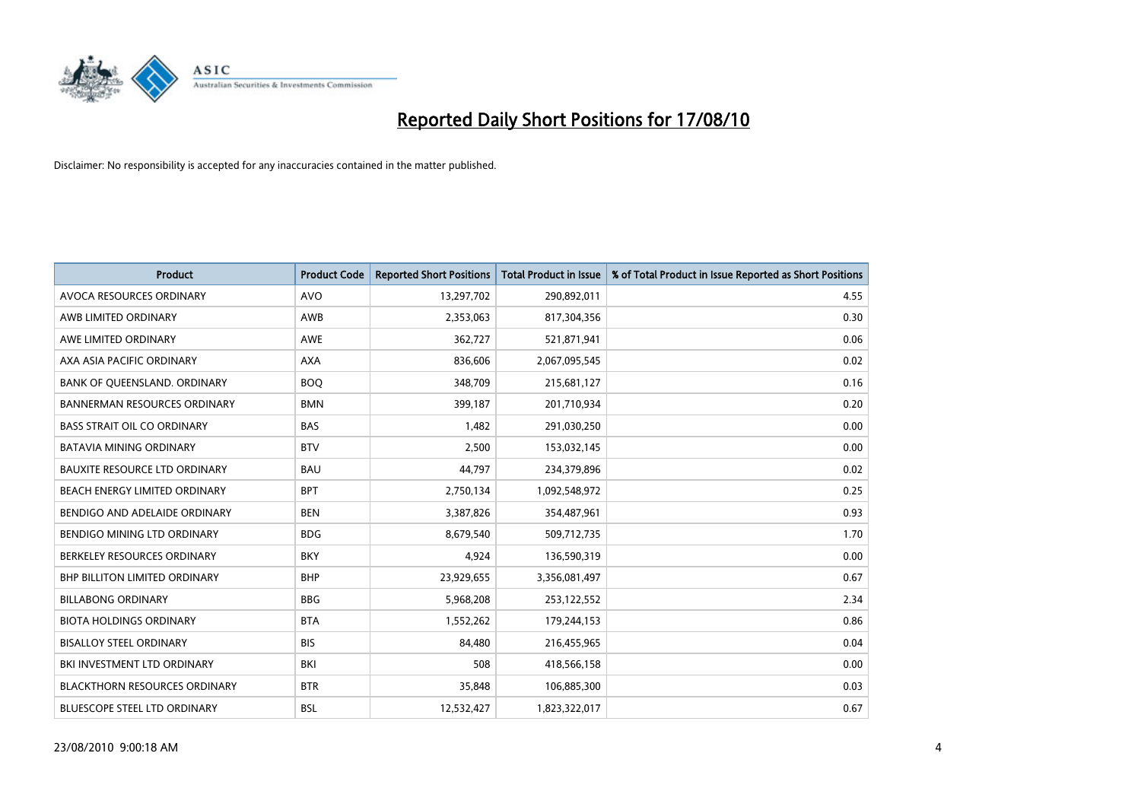

| <b>Product</b>                       | <b>Product Code</b> | <b>Reported Short Positions</b> | <b>Total Product in Issue</b> | % of Total Product in Issue Reported as Short Positions |
|--------------------------------------|---------------------|---------------------------------|-------------------------------|---------------------------------------------------------|
| <b>AVOCA RESOURCES ORDINARY</b>      | <b>AVO</b>          | 13,297,702                      | 290,892,011                   | 4.55                                                    |
| AWB LIMITED ORDINARY                 | AWB                 | 2,353,063                       | 817,304,356                   | 0.30                                                    |
| AWE LIMITED ORDINARY                 | <b>AWE</b>          | 362,727                         | 521,871,941                   | 0.06                                                    |
| AXA ASIA PACIFIC ORDINARY            | <b>AXA</b>          | 836,606                         | 2,067,095,545                 | 0.02                                                    |
| BANK OF QUEENSLAND. ORDINARY         | <b>BOO</b>          | 348.709                         | 215,681,127                   | 0.16                                                    |
| <b>BANNERMAN RESOURCES ORDINARY</b>  | <b>BMN</b>          | 399,187                         | 201,710,934                   | 0.20                                                    |
| <b>BASS STRAIT OIL CO ORDINARY</b>   | <b>BAS</b>          | 1.482                           | 291,030,250                   | 0.00                                                    |
| <b>BATAVIA MINING ORDINARY</b>       | <b>BTV</b>          | 2,500                           | 153,032,145                   | 0.00                                                    |
| BAUXITE RESOURCE LTD ORDINARY        | <b>BAU</b>          | 44,797                          | 234,379,896                   | 0.02                                                    |
| BEACH ENERGY LIMITED ORDINARY        | <b>BPT</b>          | 2,750,134                       | 1,092,548,972                 | 0.25                                                    |
| BENDIGO AND ADELAIDE ORDINARY        | <b>BEN</b>          | 3,387,826                       | 354,487,961                   | 0.93                                                    |
| BENDIGO MINING LTD ORDINARY          | <b>BDG</b>          | 8,679,540                       | 509,712,735                   | 1.70                                                    |
| BERKELEY RESOURCES ORDINARY          | <b>BKY</b>          | 4,924                           | 136,590,319                   | 0.00                                                    |
| <b>BHP BILLITON LIMITED ORDINARY</b> | <b>BHP</b>          | 23,929,655                      | 3,356,081,497                 | 0.67                                                    |
| <b>BILLABONG ORDINARY</b>            | <b>BBG</b>          | 5,968,208                       | 253,122,552                   | 2.34                                                    |
| <b>BIOTA HOLDINGS ORDINARY</b>       | <b>BTA</b>          | 1,552,262                       | 179,244,153                   | 0.86                                                    |
| <b>BISALLOY STEEL ORDINARY</b>       | <b>BIS</b>          | 84,480                          | 216,455,965                   | 0.04                                                    |
| BKI INVESTMENT LTD ORDINARY          | BKI                 | 508                             | 418,566,158                   | 0.00                                                    |
| <b>BLACKTHORN RESOURCES ORDINARY</b> | <b>BTR</b>          | 35,848                          | 106,885,300                   | 0.03                                                    |
| <b>BLUESCOPE STEEL LTD ORDINARY</b>  | <b>BSL</b>          | 12,532,427                      | 1,823,322,017                 | 0.67                                                    |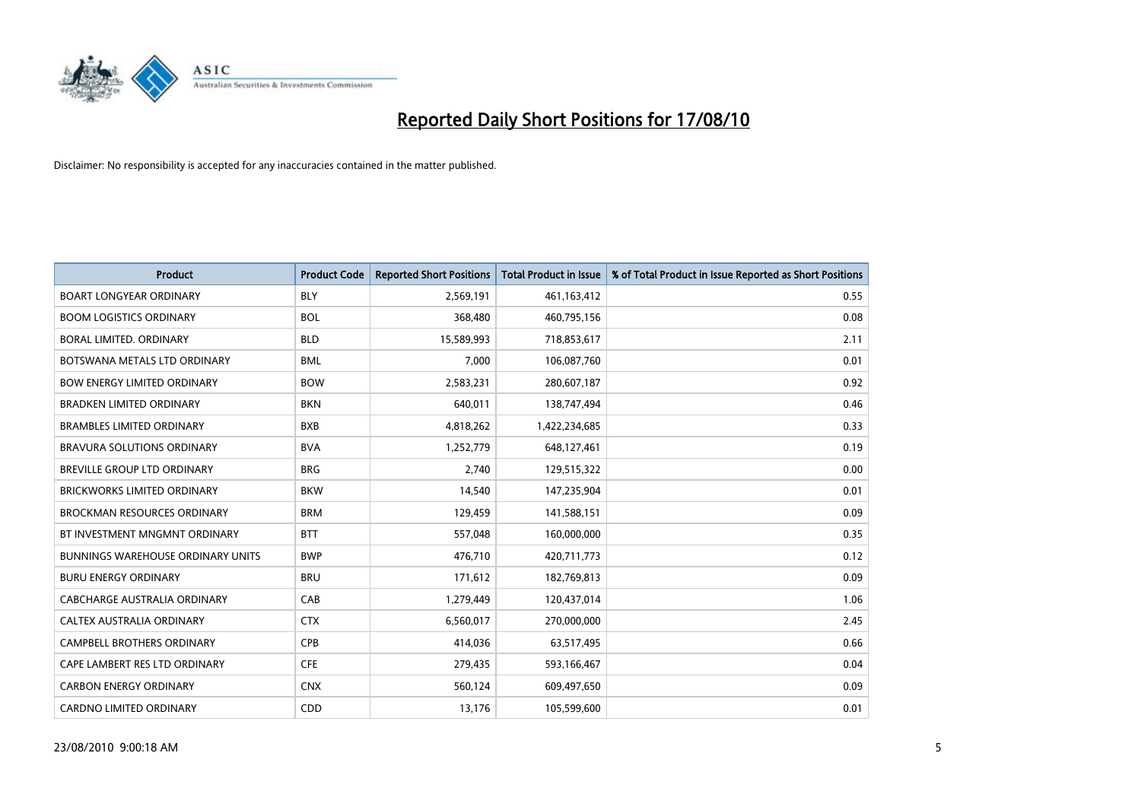

| <b>Product</b>                           | <b>Product Code</b> | <b>Reported Short Positions</b> | <b>Total Product in Issue</b> | % of Total Product in Issue Reported as Short Positions |
|------------------------------------------|---------------------|---------------------------------|-------------------------------|---------------------------------------------------------|
| <b>BOART LONGYEAR ORDINARY</b>           | <b>BLY</b>          | 2,569,191                       | 461,163,412                   | 0.55                                                    |
| <b>BOOM LOGISTICS ORDINARY</b>           | <b>BOL</b>          | 368,480                         | 460,795,156                   | 0.08                                                    |
| <b>BORAL LIMITED, ORDINARY</b>           | <b>BLD</b>          | 15,589,993                      | 718,853,617                   | 2.11                                                    |
| BOTSWANA METALS LTD ORDINARY             | <b>BML</b>          | 7,000                           | 106,087,760                   | 0.01                                                    |
| <b>BOW ENERGY LIMITED ORDINARY</b>       | <b>BOW</b>          | 2,583,231                       | 280,607,187                   | 0.92                                                    |
| <b>BRADKEN LIMITED ORDINARY</b>          | <b>BKN</b>          | 640,011                         | 138,747,494                   | 0.46                                                    |
| <b>BRAMBLES LIMITED ORDINARY</b>         | <b>BXB</b>          | 4,818,262                       | 1,422,234,685                 | 0.33                                                    |
| BRAVURA SOLUTIONS ORDINARY               | <b>BVA</b>          | 1,252,779                       | 648,127,461                   | 0.19                                                    |
| BREVILLE GROUP LTD ORDINARY              | <b>BRG</b>          | 2,740                           | 129,515,322                   | 0.00                                                    |
| <b>BRICKWORKS LIMITED ORDINARY</b>       | <b>BKW</b>          | 14,540                          | 147,235,904                   | 0.01                                                    |
| <b>BROCKMAN RESOURCES ORDINARY</b>       | <b>BRM</b>          | 129,459                         | 141,588,151                   | 0.09                                                    |
| BT INVESTMENT MNGMNT ORDINARY            | <b>BTT</b>          | 557,048                         | 160,000,000                   | 0.35                                                    |
| <b>BUNNINGS WAREHOUSE ORDINARY UNITS</b> | <b>BWP</b>          | 476,710                         | 420,711,773                   | 0.12                                                    |
| <b>BURU ENERGY ORDINARY</b>              | <b>BRU</b>          | 171,612                         | 182,769,813                   | 0.09                                                    |
| CABCHARGE AUSTRALIA ORDINARY             | CAB                 | 1,279,449                       | 120,437,014                   | 1.06                                                    |
| CALTEX AUSTRALIA ORDINARY                | <b>CTX</b>          | 6,560,017                       | 270,000,000                   | 2.45                                                    |
| <b>CAMPBELL BROTHERS ORDINARY</b>        | <b>CPB</b>          | 414,036                         | 63,517,495                    | 0.66                                                    |
| CAPE LAMBERT RES LTD ORDINARY            | <b>CFE</b>          | 279,435                         | 593,166,467                   | 0.04                                                    |
| <b>CARBON ENERGY ORDINARY</b>            | <b>CNX</b>          | 560,124                         | 609,497,650                   | 0.09                                                    |
| <b>CARDNO LIMITED ORDINARY</b>           | CDD                 | 13,176                          | 105,599,600                   | 0.01                                                    |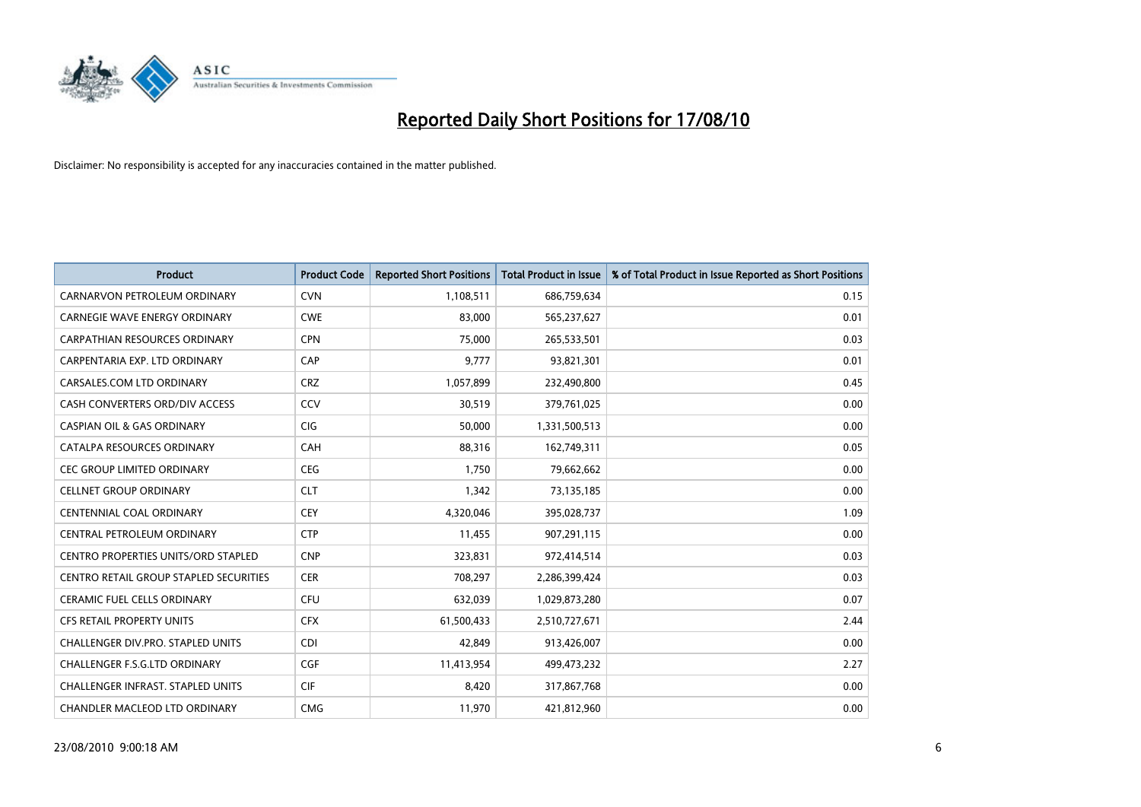

| <b>Product</b>                             | <b>Product Code</b> | <b>Reported Short Positions</b> | <b>Total Product in Issue</b> | % of Total Product in Issue Reported as Short Positions |
|--------------------------------------------|---------------------|---------------------------------|-------------------------------|---------------------------------------------------------|
| CARNARVON PETROLEUM ORDINARY               | <b>CVN</b>          | 1,108,511                       | 686,759,634                   | 0.15                                                    |
| CARNEGIE WAVE ENERGY ORDINARY              | <b>CWE</b>          | 83,000                          | 565,237,627                   | 0.01                                                    |
| <b>CARPATHIAN RESOURCES ORDINARY</b>       | <b>CPN</b>          | 75,000                          | 265,533,501                   | 0.03                                                    |
| CARPENTARIA EXP. LTD ORDINARY              | CAP                 | 9,777                           | 93,821,301                    | 0.01                                                    |
| CARSALES.COM LTD ORDINARY                  | <b>CRZ</b>          | 1,057,899                       | 232,490,800                   | 0.45                                                    |
| CASH CONVERTERS ORD/DIV ACCESS             | CCV                 | 30,519                          | 379,761,025                   | 0.00                                                    |
| <b>CASPIAN OIL &amp; GAS ORDINARY</b>      | <b>CIG</b>          | 50,000                          | 1,331,500,513                 | 0.00                                                    |
| CATALPA RESOURCES ORDINARY                 | <b>CAH</b>          | 88,316                          | 162,749,311                   | 0.05                                                    |
| CEC GROUP LIMITED ORDINARY                 | <b>CEG</b>          | 1.750                           | 79,662,662                    | 0.00                                                    |
| <b>CELLNET GROUP ORDINARY</b>              | <b>CLT</b>          | 1,342                           | 73,135,185                    | 0.00                                                    |
| CENTENNIAL COAL ORDINARY                   | <b>CEY</b>          | 4,320,046                       | 395,028,737                   | 1.09                                                    |
| CENTRAL PETROLEUM ORDINARY                 | <b>CTP</b>          | 11,455                          | 907,291,115                   | 0.00                                                    |
| <b>CENTRO PROPERTIES UNITS/ORD STAPLED</b> | <b>CNP</b>          | 323,831                         | 972,414,514                   | 0.03                                                    |
| CENTRO RETAIL GROUP STAPLED SECURITIES     | <b>CER</b>          | 708,297                         | 2,286,399,424                 | 0.03                                                    |
| <b>CERAMIC FUEL CELLS ORDINARY</b>         | <b>CFU</b>          | 632,039                         | 1,029,873,280                 | 0.07                                                    |
| CFS RETAIL PROPERTY UNITS                  | <b>CFX</b>          | 61,500,433                      | 2,510,727,671                 | 2.44                                                    |
| CHALLENGER DIV.PRO. STAPLED UNITS          | <b>CDI</b>          | 42,849                          | 913,426,007                   | 0.00                                                    |
| CHALLENGER F.S.G.LTD ORDINARY              | <b>CGF</b>          | 11,413,954                      | 499,473,232                   | 2.27                                                    |
| <b>CHALLENGER INFRAST, STAPLED UNITS</b>   | <b>CIF</b>          | 8,420                           | 317,867,768                   | 0.00                                                    |
| CHANDLER MACLEOD LTD ORDINARY              | <b>CMG</b>          | 11,970                          | 421,812,960                   | 0.00                                                    |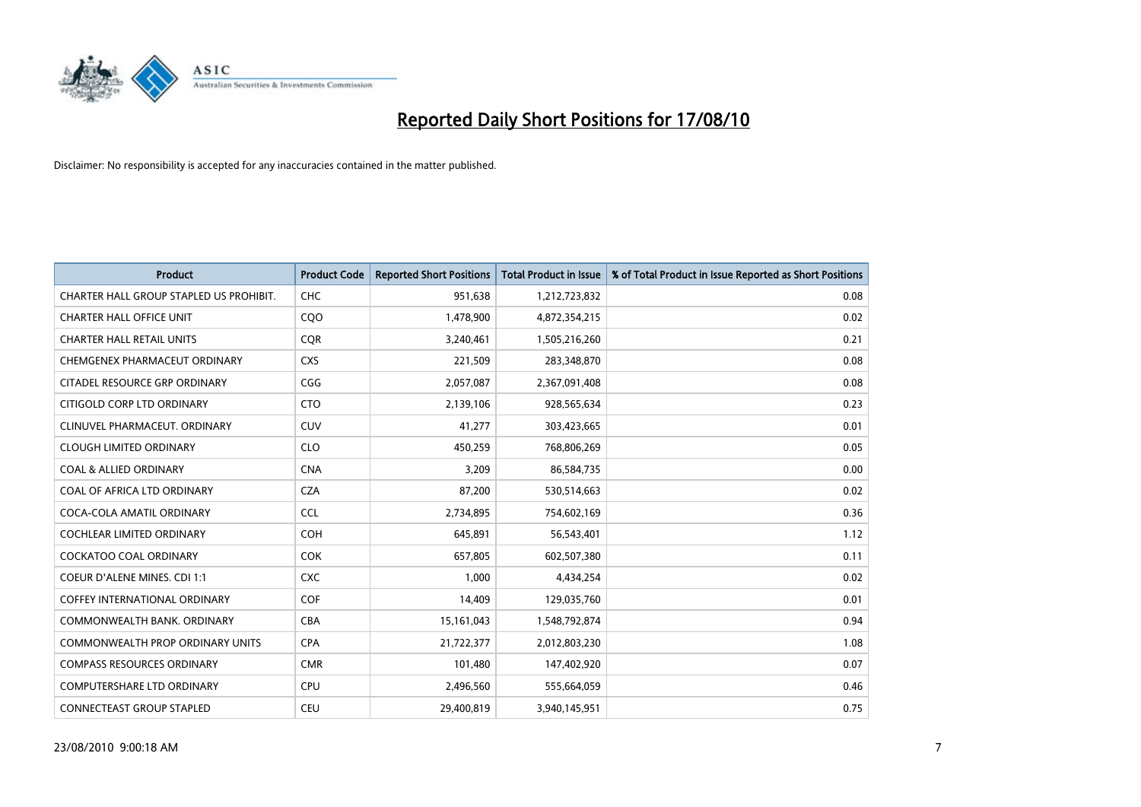

| <b>Product</b>                          | <b>Product Code</b> | <b>Reported Short Positions</b> | <b>Total Product in Issue</b> | % of Total Product in Issue Reported as Short Positions |
|-----------------------------------------|---------------------|---------------------------------|-------------------------------|---------------------------------------------------------|
| CHARTER HALL GROUP STAPLED US PROHIBIT. | <b>CHC</b>          | 951,638                         | 1,212,723,832                 | 0.08                                                    |
| <b>CHARTER HALL OFFICE UNIT</b>         | CQO                 | 1,478,900                       | 4,872,354,215                 | 0.02                                                    |
| <b>CHARTER HALL RETAIL UNITS</b>        | <b>COR</b>          | 3,240,461                       | 1,505,216,260                 | 0.21                                                    |
| CHEMGENEX PHARMACEUT ORDINARY           | <b>CXS</b>          | 221,509                         | 283,348,870                   | 0.08                                                    |
| CITADEL RESOURCE GRP ORDINARY           | CGG                 | 2,057,087                       | 2,367,091,408                 | 0.08                                                    |
| CITIGOLD CORP LTD ORDINARY              | <b>CTO</b>          | 2,139,106                       | 928,565,634                   | 0.23                                                    |
| CLINUVEL PHARMACEUT. ORDINARY           | <b>CUV</b>          | 41,277                          | 303,423,665                   | 0.01                                                    |
| <b>CLOUGH LIMITED ORDINARY</b>          | <b>CLO</b>          | 450,259                         | 768,806,269                   | 0.05                                                    |
| <b>COAL &amp; ALLIED ORDINARY</b>       | <b>CNA</b>          | 3,209                           | 86,584,735                    | 0.00                                                    |
| COAL OF AFRICA LTD ORDINARY             | <b>CZA</b>          | 87,200                          | 530,514,663                   | 0.02                                                    |
| COCA-COLA AMATIL ORDINARY               | <b>CCL</b>          | 2,734,895                       | 754,602,169                   | 0.36                                                    |
| COCHLEAR LIMITED ORDINARY               | COH                 | 645,891                         | 56,543,401                    | 1.12                                                    |
| <b>COCKATOO COAL ORDINARY</b>           | <b>COK</b>          | 657,805                         | 602,507,380                   | 0.11                                                    |
| <b>COEUR D'ALENE MINES. CDI 1:1</b>     | <b>CXC</b>          | 1,000                           | 4,434,254                     | 0.02                                                    |
| <b>COFFEY INTERNATIONAL ORDINARY</b>    | COF                 | 14,409                          | 129,035,760                   | 0.01                                                    |
| COMMONWEALTH BANK, ORDINARY             | CBA                 | 15,161,043                      | 1,548,792,874                 | 0.94                                                    |
| COMMONWEALTH PROP ORDINARY UNITS        | <b>CPA</b>          | 21,722,377                      | 2,012,803,230                 | 1.08                                                    |
| <b>COMPASS RESOURCES ORDINARY</b>       | <b>CMR</b>          | 101,480                         | 147,402,920                   | 0.07                                                    |
| <b>COMPUTERSHARE LTD ORDINARY</b>       | <b>CPU</b>          | 2,496,560                       | 555,664,059                   | 0.46                                                    |
| <b>CONNECTEAST GROUP STAPLED</b>        | CEU                 | 29,400,819                      | 3,940,145,951                 | 0.75                                                    |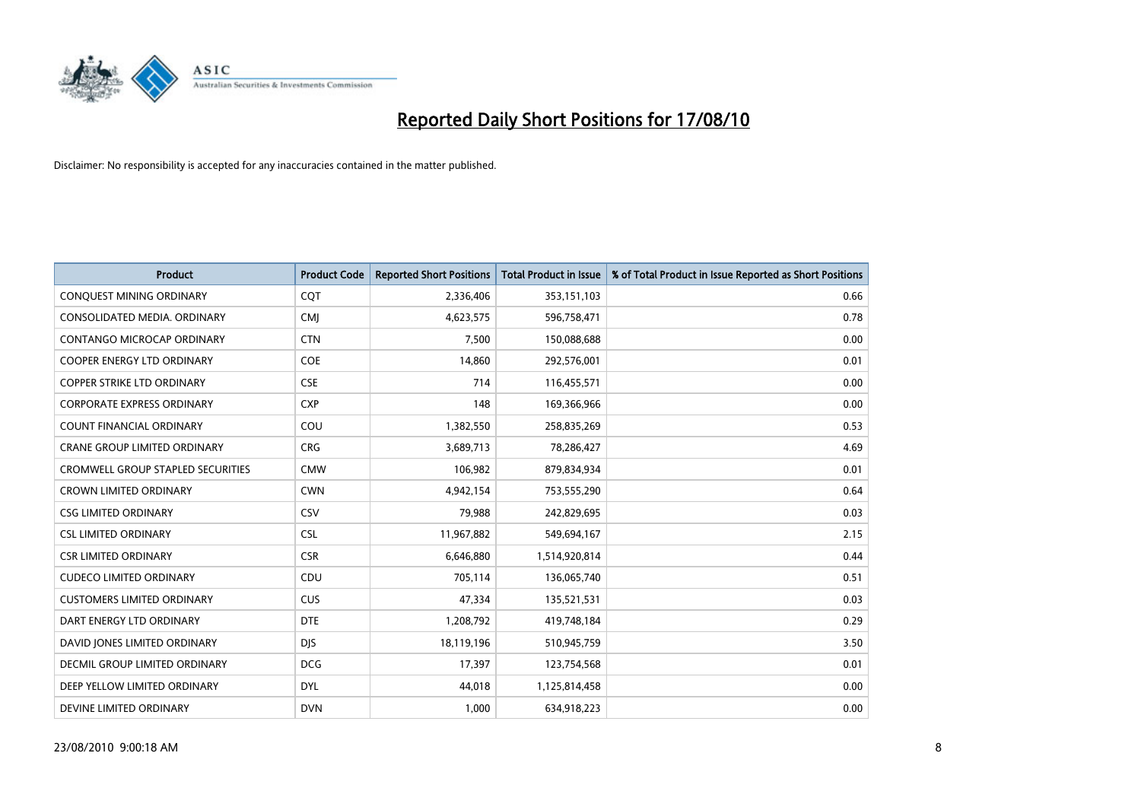

| <b>Product</b>                       | <b>Product Code</b> | <b>Reported Short Positions</b> | <b>Total Product in Issue</b> | % of Total Product in Issue Reported as Short Positions |
|--------------------------------------|---------------------|---------------------------------|-------------------------------|---------------------------------------------------------|
| CONQUEST MINING ORDINARY             | CQT                 | 2,336,406                       | 353,151,103                   | 0.66                                                    |
| CONSOLIDATED MEDIA. ORDINARY         | <b>CMI</b>          | 4,623,575                       | 596,758,471                   | 0.78                                                    |
| <b>CONTANGO MICROCAP ORDINARY</b>    | <b>CTN</b>          | 7,500                           | 150,088,688                   | 0.00                                                    |
| COOPER ENERGY LTD ORDINARY           | <b>COE</b>          | 14,860                          | 292,576,001                   | 0.01                                                    |
| <b>COPPER STRIKE LTD ORDINARY</b>    | <b>CSE</b>          | 714                             | 116,455,571                   | 0.00                                                    |
| <b>CORPORATE EXPRESS ORDINARY</b>    | <b>CXP</b>          | 148                             | 169,366,966                   | 0.00                                                    |
| <b>COUNT FINANCIAL ORDINARY</b>      | COU                 | 1,382,550                       | 258,835,269                   | 0.53                                                    |
| <b>CRANE GROUP LIMITED ORDINARY</b>  | <b>CRG</b>          | 3,689,713                       | 78,286,427                    | 4.69                                                    |
| CROMWELL GROUP STAPLED SECURITIES    | <b>CMW</b>          | 106,982                         | 879,834,934                   | 0.01                                                    |
| <b>CROWN LIMITED ORDINARY</b>        | <b>CWN</b>          | 4,942,154                       | 753,555,290                   | 0.64                                                    |
| <b>CSG LIMITED ORDINARY</b>          | CSV                 | 79,988                          | 242,829,695                   | 0.03                                                    |
| <b>CSL LIMITED ORDINARY</b>          | <b>CSL</b>          | 11,967,882                      | 549,694,167                   | 2.15                                                    |
| <b>CSR LIMITED ORDINARY</b>          | <b>CSR</b>          | 6,646,880                       | 1,514,920,814                 | 0.44                                                    |
| <b>CUDECO LIMITED ORDINARY</b>       | CDU                 | 705,114                         | 136,065,740                   | 0.51                                                    |
| <b>CUSTOMERS LIMITED ORDINARY</b>    | <b>CUS</b>          | 47,334                          | 135,521,531                   | 0.03                                                    |
| DART ENERGY LTD ORDINARY             | <b>DTE</b>          | 1,208,792                       | 419,748,184                   | 0.29                                                    |
| DAVID JONES LIMITED ORDINARY         | <b>DJS</b>          | 18,119,196                      | 510,945,759                   | 3.50                                                    |
| <b>DECMIL GROUP LIMITED ORDINARY</b> | <b>DCG</b>          | 17,397                          | 123,754,568                   | 0.01                                                    |
| DEEP YELLOW LIMITED ORDINARY         | <b>DYL</b>          | 44,018                          | 1,125,814,458                 | 0.00                                                    |
| DEVINE LIMITED ORDINARY              | <b>DVN</b>          | 1.000                           | 634,918,223                   | 0.00                                                    |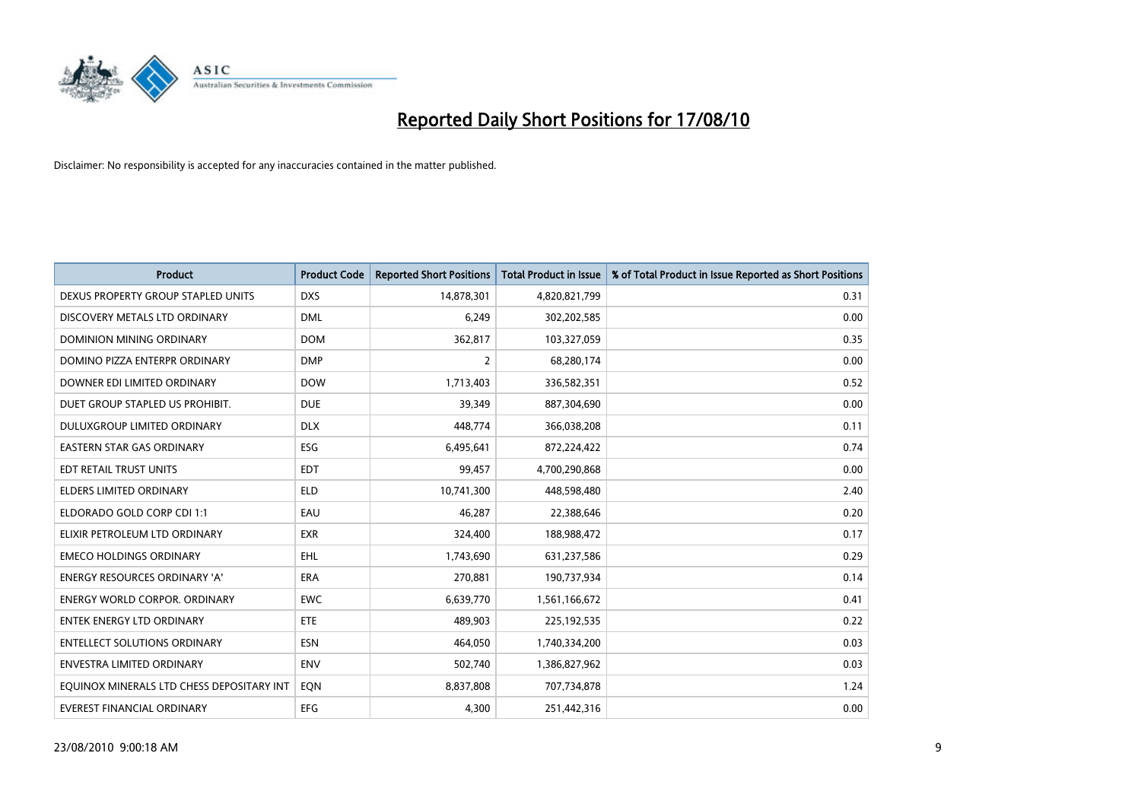

| <b>Product</b>                            | <b>Product Code</b> | <b>Reported Short Positions</b> | <b>Total Product in Issue</b> | % of Total Product in Issue Reported as Short Positions |
|-------------------------------------------|---------------------|---------------------------------|-------------------------------|---------------------------------------------------------|
| DEXUS PROPERTY GROUP STAPLED UNITS        | <b>DXS</b>          | 14,878,301                      | 4,820,821,799                 | 0.31                                                    |
| DISCOVERY METALS LTD ORDINARY             | <b>DML</b>          | 6,249                           | 302,202,585                   | 0.00                                                    |
| <b>DOMINION MINING ORDINARY</b>           | <b>DOM</b>          | 362,817                         | 103,327,059                   | 0.35                                                    |
| DOMINO PIZZA ENTERPR ORDINARY             | <b>DMP</b>          | 2                               | 68,280,174                    | 0.00                                                    |
| DOWNER EDI LIMITED ORDINARY               | <b>DOW</b>          | 1,713,403                       | 336,582,351                   | 0.52                                                    |
| DUET GROUP STAPLED US PROHIBIT.           | <b>DUE</b>          | 39,349                          | 887,304,690                   | 0.00                                                    |
| DULUXGROUP LIMITED ORDINARY               | <b>DLX</b>          | 448.774                         | 366,038,208                   | 0.11                                                    |
| EASTERN STAR GAS ORDINARY                 | ESG                 | 6,495,641                       | 872,224,422                   | 0.74                                                    |
| EDT RETAIL TRUST UNITS                    | <b>EDT</b>          | 99,457                          | 4,700,290,868                 | 0.00                                                    |
| <b>ELDERS LIMITED ORDINARY</b>            | <b>ELD</b>          | 10,741,300                      | 448,598,480                   | 2.40                                                    |
| ELDORADO GOLD CORP CDI 1:1                | EAU                 | 46,287                          | 22,388,646                    | 0.20                                                    |
| ELIXIR PETROLEUM LTD ORDINARY             | <b>EXR</b>          | 324,400                         | 188,988,472                   | 0.17                                                    |
| <b>EMECO HOLDINGS ORDINARY</b>            | <b>EHL</b>          | 1,743,690                       | 631,237,586                   | 0.29                                                    |
| <b>ENERGY RESOURCES ORDINARY 'A'</b>      | <b>ERA</b>          | 270,881                         | 190,737,934                   | 0.14                                                    |
| <b>ENERGY WORLD CORPOR, ORDINARY</b>      | <b>EWC</b>          | 6,639,770                       | 1,561,166,672                 | 0.41                                                    |
| ENTEK ENERGY LTD ORDINARY                 | <b>ETE</b>          | 489,903                         | 225,192,535                   | 0.22                                                    |
| <b>ENTELLECT SOLUTIONS ORDINARY</b>       | <b>ESN</b>          | 464,050                         | 1,740,334,200                 | 0.03                                                    |
| <b>ENVESTRA LIMITED ORDINARY</b>          | <b>ENV</b>          | 502,740                         | 1,386,827,962                 | 0.03                                                    |
| EQUINOX MINERALS LTD CHESS DEPOSITARY INT | EON                 | 8,837,808                       | 707,734,878                   | 1.24                                                    |
| EVEREST FINANCIAL ORDINARY                | <b>EFG</b>          | 4.300                           | 251,442,316                   | 0.00                                                    |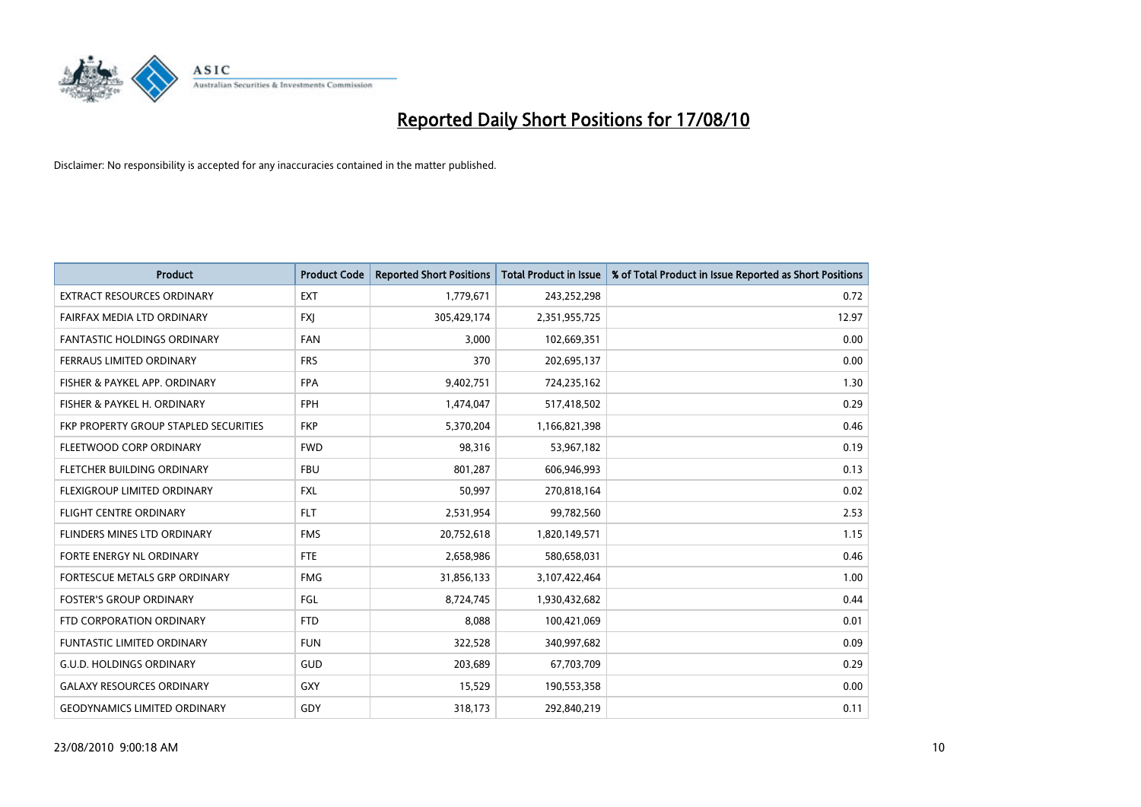

| <b>Product</b>                        | <b>Product Code</b> | <b>Reported Short Positions</b> | <b>Total Product in Issue</b> | % of Total Product in Issue Reported as Short Positions |
|---------------------------------------|---------------------|---------------------------------|-------------------------------|---------------------------------------------------------|
| <b>EXTRACT RESOURCES ORDINARY</b>     | <b>EXT</b>          | 1,779,671                       | 243,252,298                   | 0.72                                                    |
| FAIRFAX MEDIA LTD ORDINARY            | <b>FXI</b>          | 305,429,174                     | 2,351,955,725                 | 12.97                                                   |
| <b>FANTASTIC HOLDINGS ORDINARY</b>    | <b>FAN</b>          | 3,000                           | 102,669,351                   | 0.00                                                    |
| FERRAUS LIMITED ORDINARY              | <b>FRS</b>          | 370                             | 202,695,137                   | 0.00                                                    |
| FISHER & PAYKEL APP. ORDINARY         | <b>FPA</b>          | 9,402,751                       | 724,235,162                   | 1.30                                                    |
| FISHER & PAYKEL H. ORDINARY           | <b>FPH</b>          | 1,474,047                       | 517,418,502                   | 0.29                                                    |
| FKP PROPERTY GROUP STAPLED SECURITIES | <b>FKP</b>          | 5,370,204                       | 1,166,821,398                 | 0.46                                                    |
| FLEETWOOD CORP ORDINARY               | <b>FWD</b>          | 98,316                          | 53,967,182                    | 0.19                                                    |
| FLETCHER BUILDING ORDINARY            | <b>FBU</b>          | 801,287                         | 606,946,993                   | 0.13                                                    |
| FLEXIGROUP LIMITED ORDINARY           | <b>FXL</b>          | 50,997                          | 270,818,164                   | 0.02                                                    |
| FLIGHT CENTRE ORDINARY                | <b>FLT</b>          | 2,531,954                       | 99,782,560                    | 2.53                                                    |
| FLINDERS MINES LTD ORDINARY           | <b>FMS</b>          | 20,752,618                      | 1,820,149,571                 | 1.15                                                    |
| FORTE ENERGY NL ORDINARY              | <b>FTE</b>          | 2,658,986                       | 580,658,031                   | 0.46                                                    |
| FORTESCUE METALS GRP ORDINARY         | <b>FMG</b>          | 31,856,133                      | 3,107,422,464                 | 1.00                                                    |
| <b>FOSTER'S GROUP ORDINARY</b>        | FGL                 | 8,724,745                       | 1,930,432,682                 | 0.44                                                    |
| FTD CORPORATION ORDINARY              | <b>FTD</b>          | 8.088                           | 100,421,069                   | 0.01                                                    |
| <b>FUNTASTIC LIMITED ORDINARY</b>     | <b>FUN</b>          | 322,528                         | 340,997,682                   | 0.09                                                    |
| <b>G.U.D. HOLDINGS ORDINARY</b>       | <b>GUD</b>          | 203,689                         | 67,703,709                    | 0.29                                                    |
| <b>GALAXY RESOURCES ORDINARY</b>      | <b>GXY</b>          | 15,529                          | 190,553,358                   | 0.00                                                    |
| <b>GEODYNAMICS LIMITED ORDINARY</b>   | GDY                 | 318,173                         | 292,840,219                   | 0.11                                                    |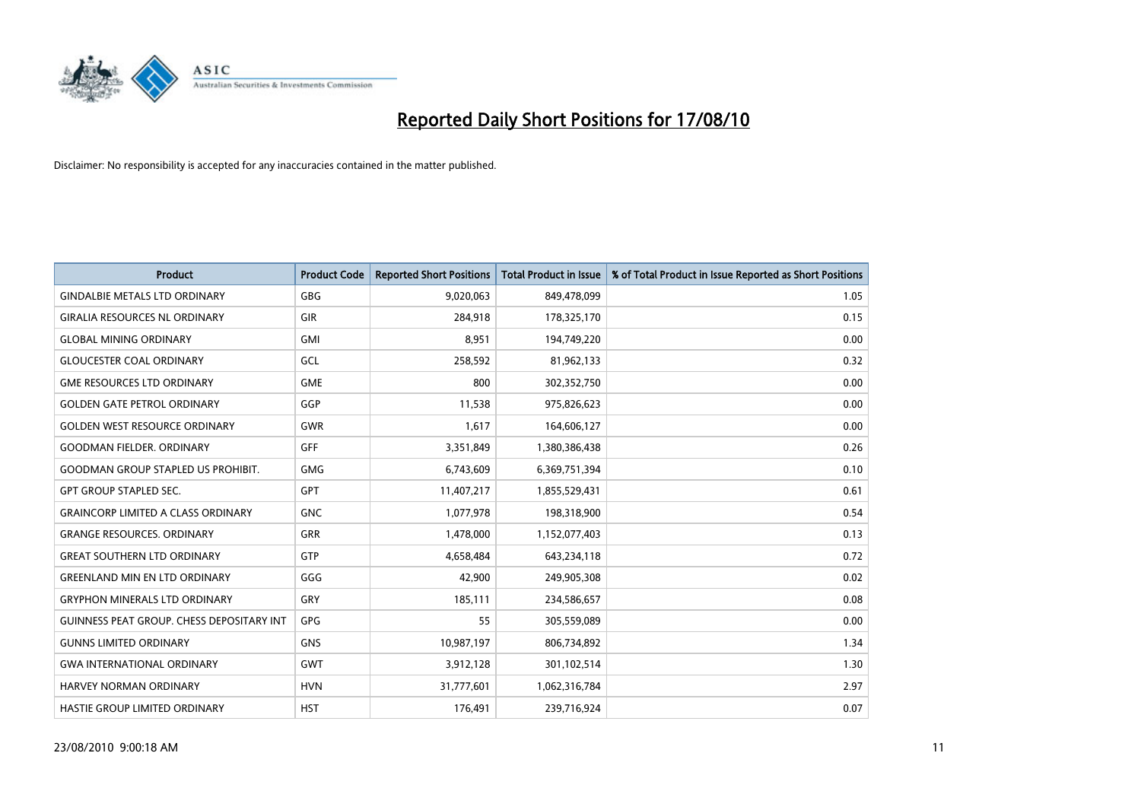

| <b>Product</b>                            | <b>Product Code</b> | <b>Reported Short Positions</b> | Total Product in Issue | % of Total Product in Issue Reported as Short Positions |
|-------------------------------------------|---------------------|---------------------------------|------------------------|---------------------------------------------------------|
| <b>GINDALBIE METALS LTD ORDINARY</b>      | <b>GBG</b>          | 9,020,063                       | 849,478,099            | 1.05                                                    |
| <b>GIRALIA RESOURCES NL ORDINARY</b>      | <b>GIR</b>          | 284,918                         | 178,325,170            | 0.15                                                    |
| <b>GLOBAL MINING ORDINARY</b>             | <b>GMI</b>          | 8,951                           | 194,749,220            | 0.00                                                    |
| <b>GLOUCESTER COAL ORDINARY</b>           | GCL                 | 258,592                         | 81,962,133             | 0.32                                                    |
| <b>GME RESOURCES LTD ORDINARY</b>         | <b>GME</b>          | 800                             | 302,352,750            | 0.00                                                    |
| <b>GOLDEN GATE PETROL ORDINARY</b>        | GGP                 | 11,538                          | 975,826,623            | 0.00                                                    |
| <b>GOLDEN WEST RESOURCE ORDINARY</b>      | <b>GWR</b>          | 1,617                           | 164,606,127            | 0.00                                                    |
| <b>GOODMAN FIELDER, ORDINARY</b>          | <b>GFF</b>          | 3,351,849                       | 1,380,386,438          | 0.26                                                    |
| <b>GOODMAN GROUP STAPLED US PROHIBIT.</b> | <b>GMG</b>          | 6,743,609                       | 6,369,751,394          | 0.10                                                    |
| <b>GPT GROUP STAPLED SEC.</b>             | <b>GPT</b>          | 11,407,217                      | 1,855,529,431          | 0.61                                                    |
| <b>GRAINCORP LIMITED A CLASS ORDINARY</b> | <b>GNC</b>          | 1,077,978                       | 198,318,900            | 0.54                                                    |
| <b>GRANGE RESOURCES, ORDINARY</b>         | <b>GRR</b>          | 1,478,000                       | 1,152,077,403          | 0.13                                                    |
| <b>GREAT SOUTHERN LTD ORDINARY</b>        | <b>GTP</b>          | 4,658,484                       | 643,234,118            | 0.72                                                    |
| <b>GREENLAND MIN EN LTD ORDINARY</b>      | GGG                 | 42,900                          | 249,905,308            | 0.02                                                    |
| <b>GRYPHON MINERALS LTD ORDINARY</b>      | GRY                 | 185,111                         | 234,586,657            | 0.08                                                    |
| GUINNESS PEAT GROUP. CHESS DEPOSITARY INT | <b>GPG</b>          | 55                              | 305,559,089            | 0.00                                                    |
| <b>GUNNS LIMITED ORDINARY</b>             | <b>GNS</b>          | 10,987,197                      | 806,734,892            | 1.34                                                    |
| <b>GWA INTERNATIONAL ORDINARY</b>         | <b>GWT</b>          | 3,912,128                       | 301,102,514            | 1.30                                                    |
| HARVEY NORMAN ORDINARY                    | <b>HVN</b>          | 31,777,601                      | 1,062,316,784          | 2.97                                                    |
| <b>HASTIE GROUP LIMITED ORDINARY</b>      | <b>HST</b>          | 176.491                         | 239,716,924            | 0.07                                                    |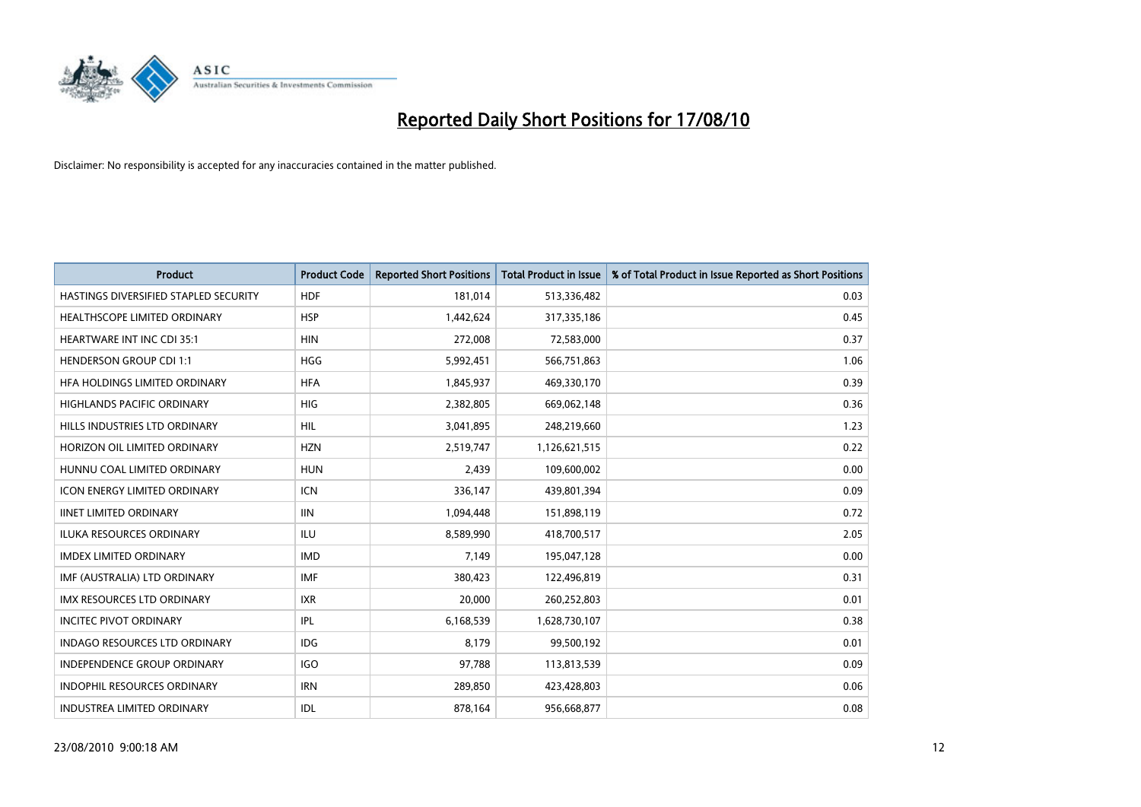

| <b>Product</b>                        | <b>Product Code</b> | <b>Reported Short Positions</b> | Total Product in Issue | % of Total Product in Issue Reported as Short Positions |
|---------------------------------------|---------------------|---------------------------------|------------------------|---------------------------------------------------------|
| HASTINGS DIVERSIFIED STAPLED SECURITY | <b>HDF</b>          | 181,014                         | 513,336,482            | 0.03                                                    |
| HEALTHSCOPE LIMITED ORDINARY          | <b>HSP</b>          | 1,442,624                       | 317,335,186            | 0.45                                                    |
| <b>HEARTWARE INT INC CDI 35:1</b>     | <b>HIN</b>          | 272,008                         | 72,583,000             | 0.37                                                    |
| <b>HENDERSON GROUP CDI 1:1</b>        | <b>HGG</b>          | 5,992,451                       | 566,751,863            | 1.06                                                    |
| HFA HOLDINGS LIMITED ORDINARY         | <b>HFA</b>          | 1,845,937                       | 469,330,170            | 0.39                                                    |
| HIGHLANDS PACIFIC ORDINARY            | HIG                 | 2,382,805                       | 669,062,148            | 0.36                                                    |
| HILLS INDUSTRIES LTD ORDINARY         | <b>HIL</b>          | 3,041,895                       | 248,219,660            | 1.23                                                    |
| HORIZON OIL LIMITED ORDINARY          | <b>HZN</b>          | 2,519,747                       | 1,126,621,515          | 0.22                                                    |
| HUNNU COAL LIMITED ORDINARY           | <b>HUN</b>          | 2,439                           | 109,600,002            | 0.00                                                    |
| <b>ICON ENERGY LIMITED ORDINARY</b>   | <b>ICN</b>          | 336,147                         | 439,801,394            | 0.09                                                    |
| <b>IINET LIMITED ORDINARY</b>         | <b>IIN</b>          | 1,094,448                       | 151,898,119            | 0.72                                                    |
| <b>ILUKA RESOURCES ORDINARY</b>       | <b>ILU</b>          | 8,589,990                       | 418,700,517            | 2.05                                                    |
| <b>IMDEX LIMITED ORDINARY</b>         | <b>IMD</b>          | 7,149                           | 195,047,128            | 0.00                                                    |
| IMF (AUSTRALIA) LTD ORDINARY          | <b>IMF</b>          | 380,423                         | 122,496,819            | 0.31                                                    |
| <b>IMX RESOURCES LTD ORDINARY</b>     | <b>IXR</b>          | 20,000                          | 260,252,803            | 0.01                                                    |
| <b>INCITEC PIVOT ORDINARY</b>         | IPL                 | 6,168,539                       | 1,628,730,107          | 0.38                                                    |
| <b>INDAGO RESOURCES LTD ORDINARY</b>  | <b>IDG</b>          | 8,179                           | 99,500,192             | 0.01                                                    |
| INDEPENDENCE GROUP ORDINARY           | <b>IGO</b>          | 97,788                          | 113,813,539            | 0.09                                                    |
| <b>INDOPHIL RESOURCES ORDINARY</b>    | <b>IRN</b>          | 289,850                         | 423,428,803            | 0.06                                                    |
| <b>INDUSTREA LIMITED ORDINARY</b>     | <b>IDL</b>          | 878,164                         | 956,668,877            | 0.08                                                    |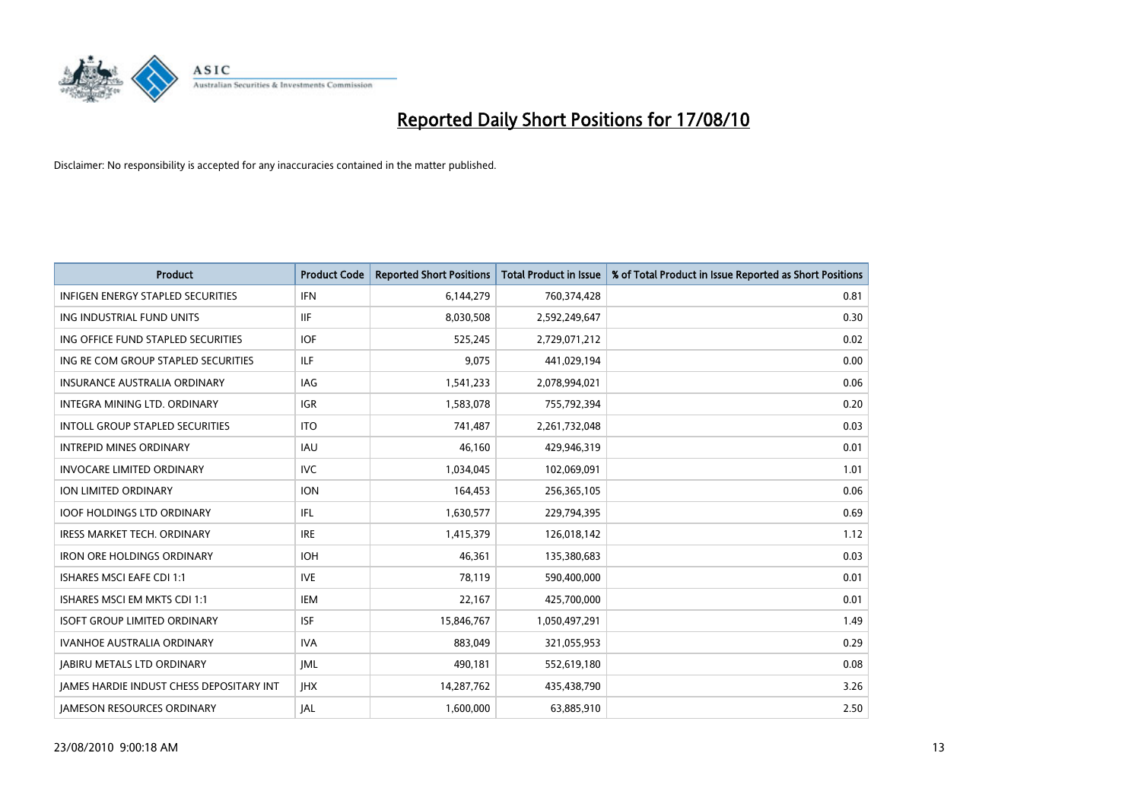

| <b>Product</b>                                  | <b>Product Code</b> | <b>Reported Short Positions</b> | <b>Total Product in Issue</b> | % of Total Product in Issue Reported as Short Positions |
|-------------------------------------------------|---------------------|---------------------------------|-------------------------------|---------------------------------------------------------|
| <b>INFIGEN ENERGY STAPLED SECURITIES</b>        | <b>IFN</b>          | 6,144,279                       | 760,374,428                   | 0.81                                                    |
| ING INDUSTRIAL FUND UNITS                       | <b>IIF</b>          | 8,030,508                       | 2,592,249,647                 | 0.30                                                    |
| ING OFFICE FUND STAPLED SECURITIES              | <b>IOF</b>          | 525,245                         | 2,729,071,212                 | 0.02                                                    |
| ING RE COM GROUP STAPLED SECURITIES             | <b>ILF</b>          | 9,075                           | 441,029,194                   | 0.00                                                    |
| <b>INSURANCE AUSTRALIA ORDINARY</b>             | <b>IAG</b>          | 1,541,233                       | 2,078,994,021                 | 0.06                                                    |
| INTEGRA MINING LTD, ORDINARY                    | <b>IGR</b>          | 1,583,078                       | 755,792,394                   | 0.20                                                    |
| <b>INTOLL GROUP STAPLED SECURITIES</b>          | <b>ITO</b>          | 741.487                         | 2,261,732,048                 | 0.03                                                    |
| <b>INTREPID MINES ORDINARY</b>                  | <b>IAU</b>          | 46.160                          | 429,946,319                   | 0.01                                                    |
| <b>INVOCARE LIMITED ORDINARY</b>                | <b>IVC</b>          | 1,034,045                       | 102,069,091                   | 1.01                                                    |
| <b>ION LIMITED ORDINARY</b>                     | <b>ION</b>          | 164,453                         | 256,365,105                   | 0.06                                                    |
| <b>IOOF HOLDINGS LTD ORDINARY</b>               | IFL.                | 1,630,577                       | 229,794,395                   | 0.69                                                    |
| <b>IRESS MARKET TECH. ORDINARY</b>              | <b>IRE</b>          | 1,415,379                       | 126,018,142                   | 1.12                                                    |
| <b>IRON ORE HOLDINGS ORDINARY</b>               | <b>IOH</b>          | 46.361                          | 135,380,683                   | 0.03                                                    |
| <b>ISHARES MSCI EAFE CDI 1:1</b>                | <b>IVE</b>          | 78,119                          | 590,400,000                   | 0.01                                                    |
| ISHARES MSCI EM MKTS CDI 1:1                    | <b>IEM</b>          | 22,167                          | 425,700,000                   | 0.01                                                    |
| <b>ISOFT GROUP LIMITED ORDINARY</b>             | <b>ISF</b>          | 15,846,767                      | 1,050,497,291                 | 1.49                                                    |
| <b>IVANHOE AUSTRALIA ORDINARY</b>               | <b>IVA</b>          | 883,049                         | 321,055,953                   | 0.29                                                    |
| <b>JABIRU METALS LTD ORDINARY</b>               | <b>JML</b>          | 490,181                         | 552,619,180                   | 0.08                                                    |
| <b>IAMES HARDIE INDUST CHESS DEPOSITARY INT</b> | <b>IHX</b>          | 14,287,762                      | 435,438,790                   | 3.26                                                    |
| <b>IAMESON RESOURCES ORDINARY</b>               | <b>JAL</b>          | 1,600,000                       | 63,885,910                    | 2.50                                                    |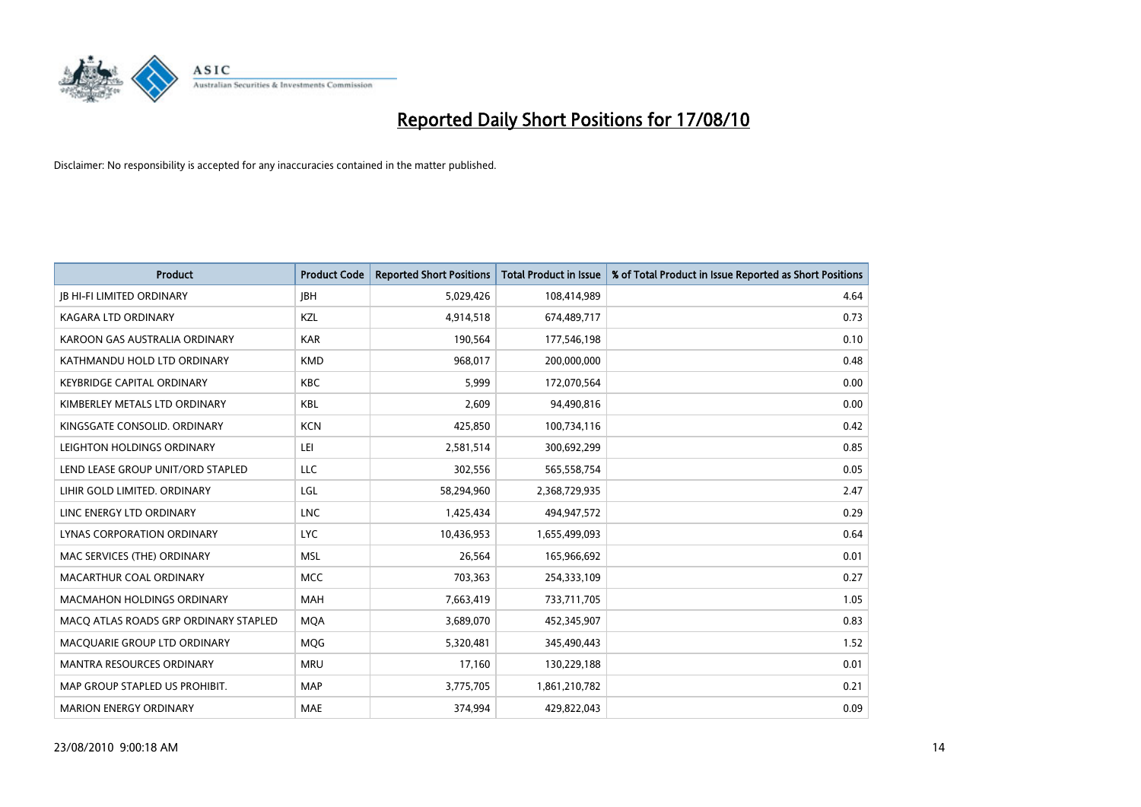

| <b>Product</b>                        | <b>Product Code</b> | <b>Reported Short Positions</b> | <b>Total Product in Issue</b> | % of Total Product in Issue Reported as Short Positions |
|---------------------------------------|---------------------|---------------------------------|-------------------------------|---------------------------------------------------------|
| <b>JB HI-FI LIMITED ORDINARY</b>      | <b>IBH</b>          | 5,029,426                       | 108,414,989                   | 4.64                                                    |
| KAGARA LTD ORDINARY                   | KZL                 | 4,914,518                       | 674,489,717                   | 0.73                                                    |
| KAROON GAS AUSTRALIA ORDINARY         | <b>KAR</b>          | 190,564                         | 177,546,198                   | 0.10                                                    |
| KATHMANDU HOLD LTD ORDINARY           | <b>KMD</b>          | 968,017                         | 200,000,000                   | 0.48                                                    |
| <b>KEYBRIDGE CAPITAL ORDINARY</b>     | <b>KBC</b>          | 5,999                           | 172,070,564                   | 0.00                                                    |
| KIMBERLEY METALS LTD ORDINARY         | <b>KBL</b>          | 2,609                           | 94,490,816                    | 0.00                                                    |
| KINGSGATE CONSOLID. ORDINARY          | <b>KCN</b>          | 425,850                         | 100,734,116                   | 0.42                                                    |
| LEIGHTON HOLDINGS ORDINARY            | LEI                 | 2,581,514                       | 300,692,299                   | 0.85                                                    |
| LEND LEASE GROUP UNIT/ORD STAPLED     | LLC                 | 302,556                         | 565,558,754                   | 0.05                                                    |
| LIHIR GOLD LIMITED. ORDINARY          | LGL                 | 58,294,960                      | 2,368,729,935                 | 2.47                                                    |
| LINC ENERGY LTD ORDINARY              | <b>LNC</b>          | 1,425,434                       | 494,947,572                   | 0.29                                                    |
| LYNAS CORPORATION ORDINARY            | <b>LYC</b>          | 10,436,953                      | 1,655,499,093                 | 0.64                                                    |
| MAC SERVICES (THE) ORDINARY           | <b>MSL</b>          | 26,564                          | 165,966,692                   | 0.01                                                    |
| MACARTHUR COAL ORDINARY               | <b>MCC</b>          | 703,363                         | 254,333,109                   | 0.27                                                    |
| <b>MACMAHON HOLDINGS ORDINARY</b>     | <b>MAH</b>          | 7,663,419                       | 733,711,705                   | 1.05                                                    |
| MACO ATLAS ROADS GRP ORDINARY STAPLED | <b>MOA</b>          | 3,689,070                       | 452,345,907                   | 0.83                                                    |
| MACQUARIE GROUP LTD ORDINARY          | <b>MQG</b>          | 5,320,481                       | 345,490,443                   | 1.52                                                    |
| <b>MANTRA RESOURCES ORDINARY</b>      | <b>MRU</b>          | 17,160                          | 130,229,188                   | 0.01                                                    |
| MAP GROUP STAPLED US PROHIBIT.        | <b>MAP</b>          | 3,775,705                       | 1,861,210,782                 | 0.21                                                    |
| <b>MARION ENERGY ORDINARY</b>         | MAE                 | 374,994                         | 429,822,043                   | 0.09                                                    |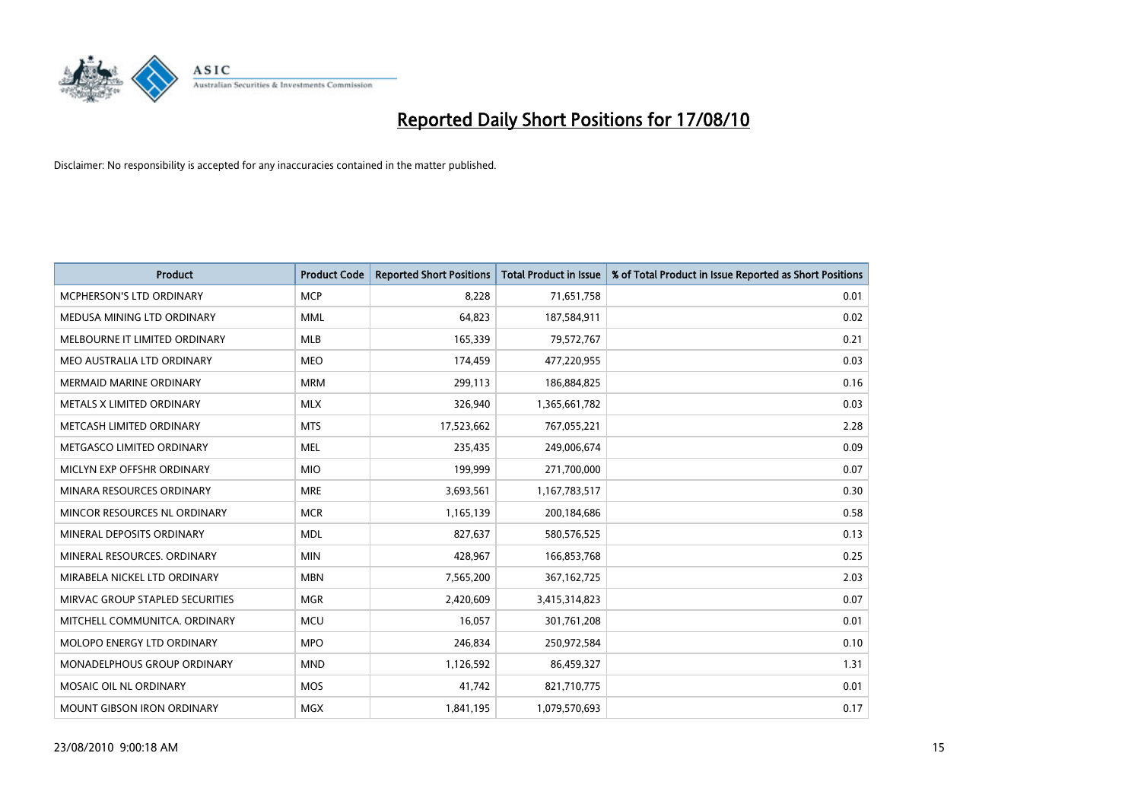

| <b>Product</b>                    | <b>Product Code</b> | <b>Reported Short Positions</b> | <b>Total Product in Issue</b> | % of Total Product in Issue Reported as Short Positions |
|-----------------------------------|---------------------|---------------------------------|-------------------------------|---------------------------------------------------------|
| <b>MCPHERSON'S LTD ORDINARY</b>   | <b>MCP</b>          | 8,228                           | 71,651,758                    | 0.01                                                    |
| MEDUSA MINING LTD ORDINARY        | <b>MML</b>          | 64,823                          | 187,584,911                   | 0.02                                                    |
| MELBOURNE IT LIMITED ORDINARY     | <b>MLB</b>          | 165,339                         | 79,572,767                    | 0.21                                                    |
| MEO AUSTRALIA LTD ORDINARY        | <b>MEO</b>          | 174,459                         | 477,220,955                   | 0.03                                                    |
| <b>MERMAID MARINE ORDINARY</b>    | <b>MRM</b>          | 299,113                         | 186,884,825                   | 0.16                                                    |
| METALS X LIMITED ORDINARY         | <b>MLX</b>          | 326,940                         | 1,365,661,782                 | 0.03                                                    |
| METCASH LIMITED ORDINARY          | <b>MTS</b>          | 17,523,662                      | 767,055,221                   | 2.28                                                    |
| METGASCO LIMITED ORDINARY         | <b>MEL</b>          | 235,435                         | 249,006,674                   | 0.09                                                    |
| MICLYN EXP OFFSHR ORDINARY        | <b>MIO</b>          | 199,999                         | 271,700,000                   | 0.07                                                    |
| MINARA RESOURCES ORDINARY         | <b>MRE</b>          | 3,693,561                       | 1,167,783,517                 | 0.30                                                    |
| MINCOR RESOURCES NL ORDINARY      | <b>MCR</b>          | 1,165,139                       | 200,184,686                   | 0.58                                                    |
| MINERAL DEPOSITS ORDINARY         | <b>MDL</b>          | 827,637                         | 580,576,525                   | 0.13                                                    |
| MINERAL RESOURCES, ORDINARY       | <b>MIN</b>          | 428,967                         | 166,853,768                   | 0.25                                                    |
| MIRABELA NICKEL LTD ORDINARY      | <b>MBN</b>          | 7,565,200                       | 367, 162, 725                 | 2.03                                                    |
| MIRVAC GROUP STAPLED SECURITIES   | <b>MGR</b>          | 2,420,609                       | 3,415,314,823                 | 0.07                                                    |
| MITCHELL COMMUNITCA. ORDINARY     | <b>MCU</b>          | 16,057                          | 301,761,208                   | 0.01                                                    |
| <b>MOLOPO ENERGY LTD ORDINARY</b> | <b>MPO</b>          | 246,834                         | 250,972,584                   | 0.10                                                    |
| MONADELPHOUS GROUP ORDINARY       | <b>MND</b>          | 1,126,592                       | 86,459,327                    | 1.31                                                    |
| MOSAIC OIL NL ORDINARY            | <b>MOS</b>          | 41.742                          | 821,710,775                   | 0.01                                                    |
| <b>MOUNT GIBSON IRON ORDINARY</b> | <b>MGX</b>          | 1,841,195                       | 1,079,570,693                 | 0.17                                                    |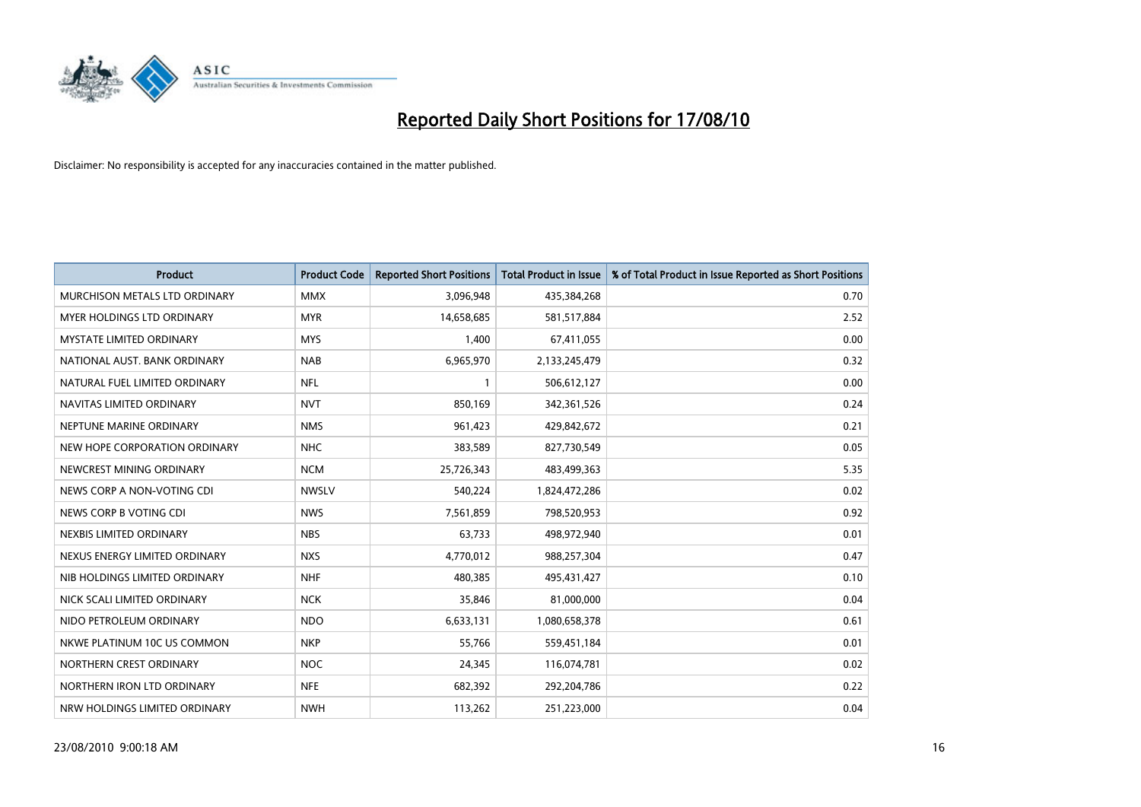

| <b>Product</b>                    | <b>Product Code</b> | <b>Reported Short Positions</b> | <b>Total Product in Issue</b> | % of Total Product in Issue Reported as Short Positions |
|-----------------------------------|---------------------|---------------------------------|-------------------------------|---------------------------------------------------------|
| MURCHISON METALS LTD ORDINARY     | <b>MMX</b>          | 3,096,948                       | 435,384,268                   | 0.70                                                    |
| <b>MYER HOLDINGS LTD ORDINARY</b> | <b>MYR</b>          | 14,658,685                      | 581,517,884                   | 2.52                                                    |
| <b>MYSTATE LIMITED ORDINARY</b>   | <b>MYS</b>          | 1,400                           | 67,411,055                    | 0.00                                                    |
| NATIONAL AUST. BANK ORDINARY      | <b>NAB</b>          | 6,965,970                       | 2,133,245,479                 | 0.32                                                    |
| NATURAL FUEL LIMITED ORDINARY     | <b>NFL</b>          |                                 | 506,612,127                   | 0.00                                                    |
| NAVITAS LIMITED ORDINARY          | <b>NVT</b>          | 850,169                         | 342,361,526                   | 0.24                                                    |
| NEPTUNE MARINE ORDINARY           | <b>NMS</b>          | 961,423                         | 429,842,672                   | 0.21                                                    |
| NEW HOPE CORPORATION ORDINARY     | <b>NHC</b>          | 383,589                         | 827,730,549                   | 0.05                                                    |
| NEWCREST MINING ORDINARY          | <b>NCM</b>          | 25,726,343                      | 483,499,363                   | 5.35                                                    |
| NEWS CORP A NON-VOTING CDI        | <b>NWSLV</b>        | 540,224                         | 1,824,472,286                 | 0.02                                                    |
| NEWS CORP B VOTING CDI            | <b>NWS</b>          | 7,561,859                       | 798,520,953                   | 0.92                                                    |
| NEXBIS LIMITED ORDINARY           | <b>NBS</b>          | 63,733                          | 498,972,940                   | 0.01                                                    |
| NEXUS ENERGY LIMITED ORDINARY     | <b>NXS</b>          | 4,770,012                       | 988,257,304                   | 0.47                                                    |
| NIB HOLDINGS LIMITED ORDINARY     | <b>NHF</b>          | 480,385                         | 495,431,427                   | 0.10                                                    |
| NICK SCALI LIMITED ORDINARY       | <b>NCK</b>          | 35,846                          | 81,000,000                    | 0.04                                                    |
| NIDO PETROLEUM ORDINARY           | <b>NDO</b>          | 6,633,131                       | 1,080,658,378                 | 0.61                                                    |
| NKWE PLATINUM 10C US COMMON       | <b>NKP</b>          | 55,766                          | 559,451,184                   | 0.01                                                    |
| NORTHERN CREST ORDINARY           | <b>NOC</b>          | 24,345                          | 116,074,781                   | 0.02                                                    |
| NORTHERN IRON LTD ORDINARY        | <b>NFE</b>          | 682,392                         | 292,204,786                   | 0.22                                                    |
| NRW HOLDINGS LIMITED ORDINARY     | <b>NWH</b>          | 113,262                         | 251,223,000                   | 0.04                                                    |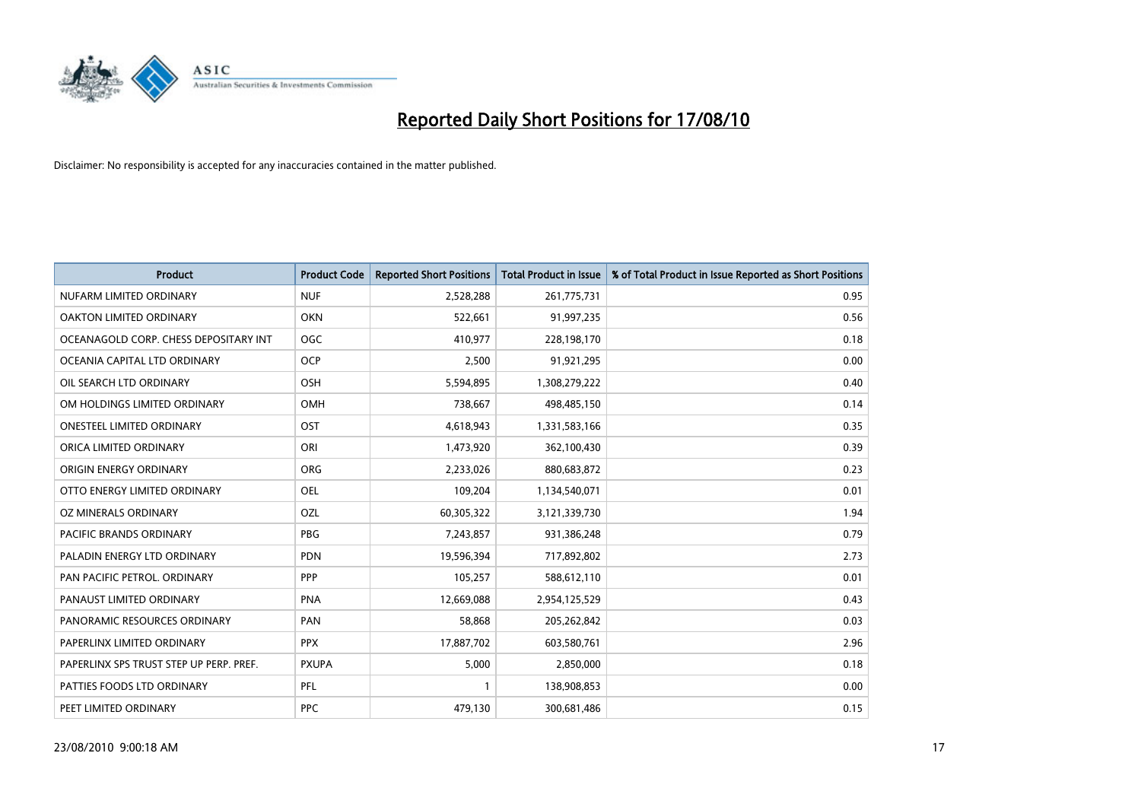

| <b>Product</b>                          | <b>Product Code</b> | <b>Reported Short Positions</b> | Total Product in Issue | % of Total Product in Issue Reported as Short Positions |
|-----------------------------------------|---------------------|---------------------------------|------------------------|---------------------------------------------------------|
| NUFARM LIMITED ORDINARY                 | <b>NUF</b>          | 2,528,288                       | 261,775,731            | 0.95                                                    |
| OAKTON LIMITED ORDINARY                 | <b>OKN</b>          | 522,661                         | 91,997,235             | 0.56                                                    |
| OCEANAGOLD CORP. CHESS DEPOSITARY INT   | <b>OGC</b>          | 410,977                         | 228,198,170            | 0.18                                                    |
| OCEANIA CAPITAL LTD ORDINARY            | <b>OCP</b>          | 2,500                           | 91,921,295             | 0.00                                                    |
| OIL SEARCH LTD ORDINARY                 | OSH                 | 5,594,895                       | 1,308,279,222          | 0.40                                                    |
| OM HOLDINGS LIMITED ORDINARY            | OMH                 | 738,667                         | 498,485,150            | 0.14                                                    |
| ONESTEEL LIMITED ORDINARY               | OST                 | 4,618,943                       | 1,331,583,166          | 0.35                                                    |
| ORICA LIMITED ORDINARY                  | ORI                 | 1,473,920                       | 362,100,430            | 0.39                                                    |
| ORIGIN ENERGY ORDINARY                  | <b>ORG</b>          | 2,233,026                       | 880,683,872            | 0.23                                                    |
| OTTO ENERGY LIMITED ORDINARY            | OEL                 | 109,204                         | 1,134,540,071          | 0.01                                                    |
| OZ MINERALS ORDINARY                    | OZL                 | 60,305,322                      | 3,121,339,730          | 1.94                                                    |
| PACIFIC BRANDS ORDINARY                 | <b>PBG</b>          | 7,243,857                       | 931,386,248            | 0.79                                                    |
| PALADIN ENERGY LTD ORDINARY             | <b>PDN</b>          | 19,596,394                      | 717,892,802            | 2.73                                                    |
| PAN PACIFIC PETROL. ORDINARY            | PPP                 | 105,257                         | 588,612,110            | 0.01                                                    |
| PANAUST LIMITED ORDINARY                | PNA                 | 12,669,088                      | 2,954,125,529          | 0.43                                                    |
| PANORAMIC RESOURCES ORDINARY            | PAN                 | 58,868                          | 205,262,842            | 0.03                                                    |
| PAPERLINX LIMITED ORDINARY              | <b>PPX</b>          | 17,887,702                      | 603,580,761            | 2.96                                                    |
| PAPERLINX SPS TRUST STEP UP PERP. PREF. | <b>PXUPA</b>        | 5,000                           | 2,850,000              | 0.18                                                    |
| PATTIES FOODS LTD ORDINARY              | PFL                 |                                 | 138,908,853            | 0.00                                                    |
| PEET LIMITED ORDINARY                   | <b>PPC</b>          | 479,130                         | 300,681,486            | 0.15                                                    |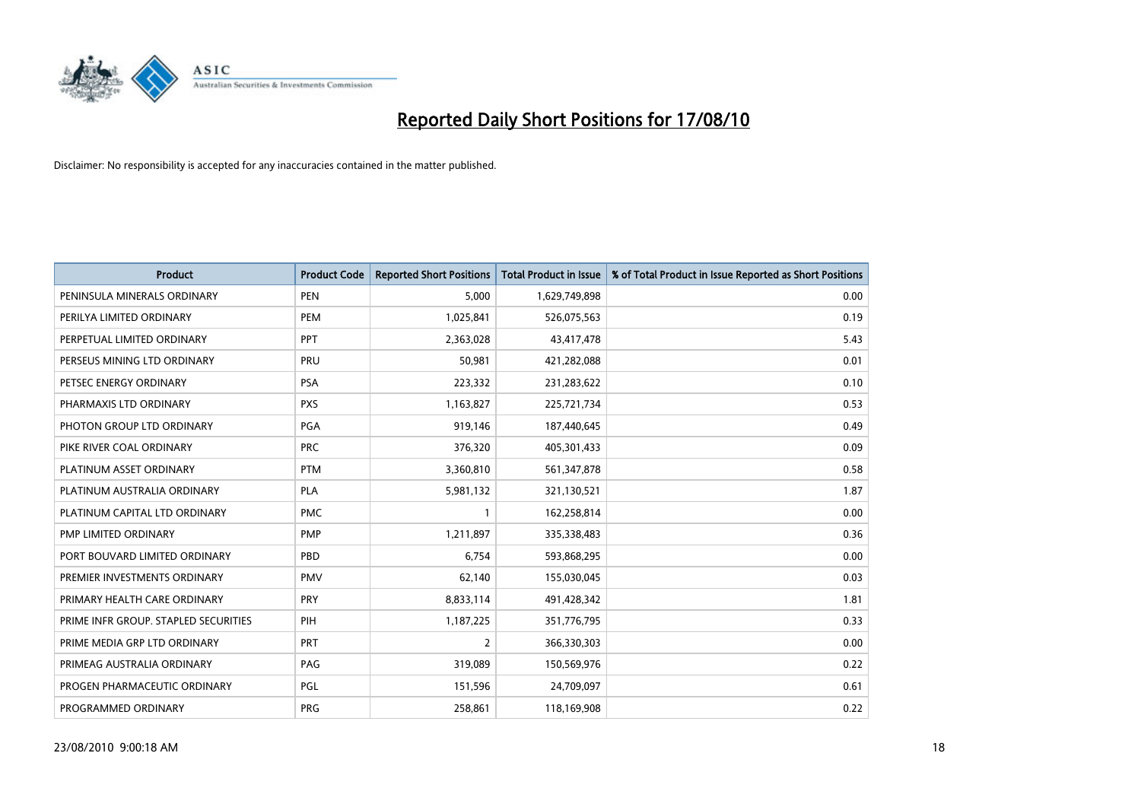

| <b>Product</b>                       | <b>Product Code</b> | <b>Reported Short Positions</b> | Total Product in Issue | % of Total Product in Issue Reported as Short Positions |
|--------------------------------------|---------------------|---------------------------------|------------------------|---------------------------------------------------------|
| PENINSULA MINERALS ORDINARY          | <b>PEN</b>          | 5,000                           | 1,629,749,898          | 0.00                                                    |
| PERILYA LIMITED ORDINARY             | PEM                 | 1,025,841                       | 526,075,563            | 0.19                                                    |
| PERPETUAL LIMITED ORDINARY           | PPT                 | 2,363,028                       | 43,417,478             | 5.43                                                    |
| PERSEUS MINING LTD ORDINARY          | PRU                 | 50,981                          | 421,282,088            | 0.01                                                    |
| PETSEC ENERGY ORDINARY               | <b>PSA</b>          | 223,332                         | 231,283,622            | 0.10                                                    |
| PHARMAXIS LTD ORDINARY               | <b>PXS</b>          | 1,163,827                       | 225,721,734            | 0.53                                                    |
| PHOTON GROUP LTD ORDINARY            | <b>PGA</b>          | 919,146                         | 187,440,645            | 0.49                                                    |
| PIKE RIVER COAL ORDINARY             | <b>PRC</b>          | 376,320                         | 405,301,433            | 0.09                                                    |
| PLATINUM ASSET ORDINARY              | <b>PTM</b>          | 3,360,810                       | 561,347,878            | 0.58                                                    |
| PLATINUM AUSTRALIA ORDINARY          | <b>PLA</b>          | 5,981,132                       | 321,130,521            | 1.87                                                    |
| PLATINUM CAPITAL LTD ORDINARY        | <b>PMC</b>          |                                 | 162,258,814            | 0.00                                                    |
| PMP LIMITED ORDINARY                 | <b>PMP</b>          | 1,211,897                       | 335,338,483            | 0.36                                                    |
| PORT BOUVARD LIMITED ORDINARY        | PBD                 | 6,754                           | 593,868,295            | 0.00                                                    |
| PREMIER INVESTMENTS ORDINARY         | <b>PMV</b>          | 62,140                          | 155,030,045            | 0.03                                                    |
| PRIMARY HEALTH CARE ORDINARY         | <b>PRY</b>          | 8,833,114                       | 491,428,342            | 1.81                                                    |
| PRIME INFR GROUP. STAPLED SECURITIES | PIH                 | 1,187,225                       | 351,776,795            | 0.33                                                    |
| PRIME MEDIA GRP LTD ORDINARY         | PRT                 | $\overline{2}$                  | 366,330,303            | 0.00                                                    |
| PRIMEAG AUSTRALIA ORDINARY           | PAG                 | 319,089                         | 150,569,976            | 0.22                                                    |
| PROGEN PHARMACEUTIC ORDINARY         | PGL                 | 151,596                         | 24,709,097             | 0.61                                                    |
| PROGRAMMED ORDINARY                  | PRG                 | 258,861                         | 118,169,908            | 0.22                                                    |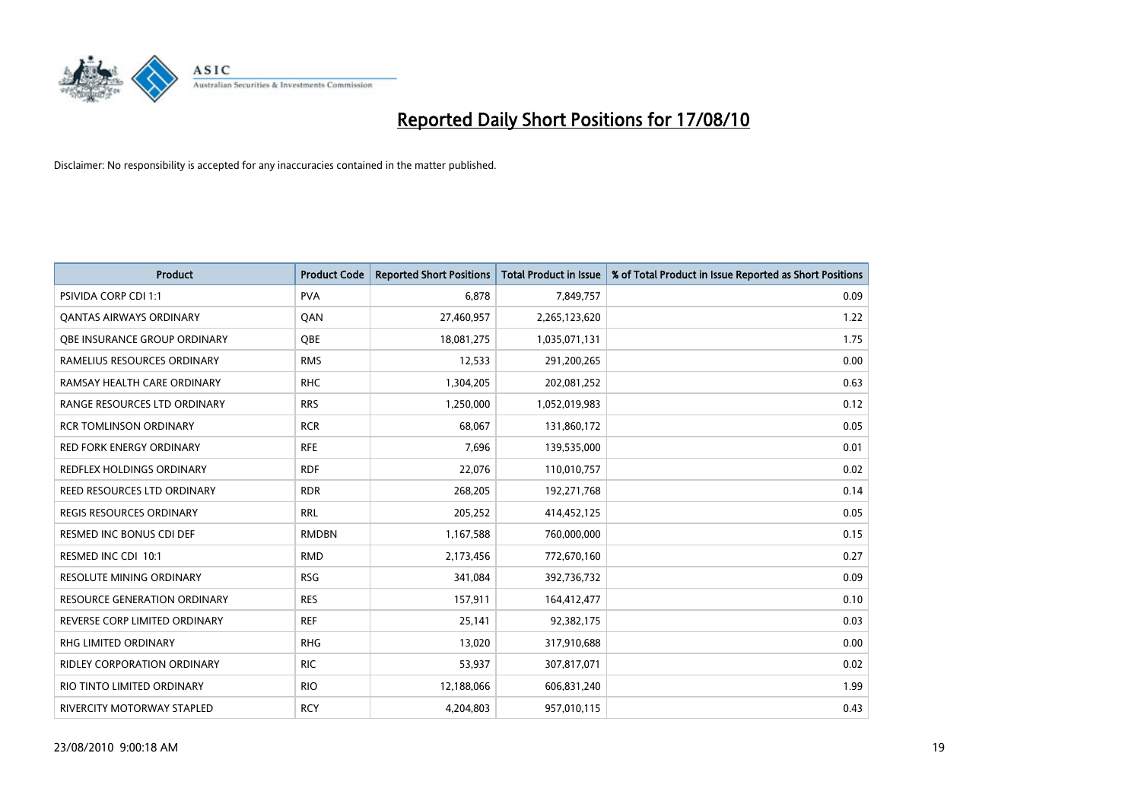

| <b>Product</b>                      | <b>Product Code</b> | <b>Reported Short Positions</b> | Total Product in Issue | % of Total Product in Issue Reported as Short Positions |
|-------------------------------------|---------------------|---------------------------------|------------------------|---------------------------------------------------------|
| <b>PSIVIDA CORP CDI 1:1</b>         | <b>PVA</b>          | 6,878                           | 7,849,757              | 0.09                                                    |
| <b>QANTAS AIRWAYS ORDINARY</b>      | QAN                 | 27,460,957                      | 2,265,123,620          | 1.22                                                    |
| QBE INSURANCE GROUP ORDINARY        | OBE                 | 18,081,275                      | 1,035,071,131          | 1.75                                                    |
| RAMELIUS RESOURCES ORDINARY         | <b>RMS</b>          | 12,533                          | 291,200,265            | 0.00                                                    |
| RAMSAY HEALTH CARE ORDINARY         | <b>RHC</b>          | 1,304,205                       | 202,081,252            | 0.63                                                    |
| RANGE RESOURCES LTD ORDINARY        | <b>RRS</b>          | 1,250,000                       | 1,052,019,983          | 0.12                                                    |
| <b>RCR TOMLINSON ORDINARY</b>       | <b>RCR</b>          | 68.067                          | 131,860,172            | 0.05                                                    |
| RED FORK ENERGY ORDINARY            | <b>RFE</b>          | 7,696                           | 139,535,000            | 0.01                                                    |
| <b>REDFLEX HOLDINGS ORDINARY</b>    | <b>RDF</b>          | 22,076                          | 110,010,757            | 0.02                                                    |
| REED RESOURCES LTD ORDINARY         | <b>RDR</b>          | 268,205                         | 192,271,768            | 0.14                                                    |
| REGIS RESOURCES ORDINARY            | <b>RRL</b>          | 205,252                         | 414,452,125            | 0.05                                                    |
| <b>RESMED INC BONUS CDI DEF</b>     | <b>RMDBN</b>        | 1,167,588                       | 760,000,000            | 0.15                                                    |
| RESMED INC CDI 10:1                 | <b>RMD</b>          | 2,173,456                       | 772,670,160            | 0.27                                                    |
| RESOLUTE MINING ORDINARY            | <b>RSG</b>          | 341,084                         | 392,736,732            | 0.09                                                    |
| <b>RESOURCE GENERATION ORDINARY</b> | <b>RES</b>          | 157,911                         | 164,412,477            | 0.10                                                    |
| REVERSE CORP LIMITED ORDINARY       | <b>REF</b>          | 25,141                          | 92,382,175             | 0.03                                                    |
| RHG LIMITED ORDINARY                | <b>RHG</b>          | 13,020                          | 317,910,688            | 0.00                                                    |
| RIDLEY CORPORATION ORDINARY         | <b>RIC</b>          | 53,937                          | 307,817,071            | 0.02                                                    |
| RIO TINTO LIMITED ORDINARY          | <b>RIO</b>          | 12,188,066                      | 606,831,240            | 1.99                                                    |
| RIVERCITY MOTORWAY STAPLED          | <b>RCY</b>          | 4,204,803                       | 957,010,115            | 0.43                                                    |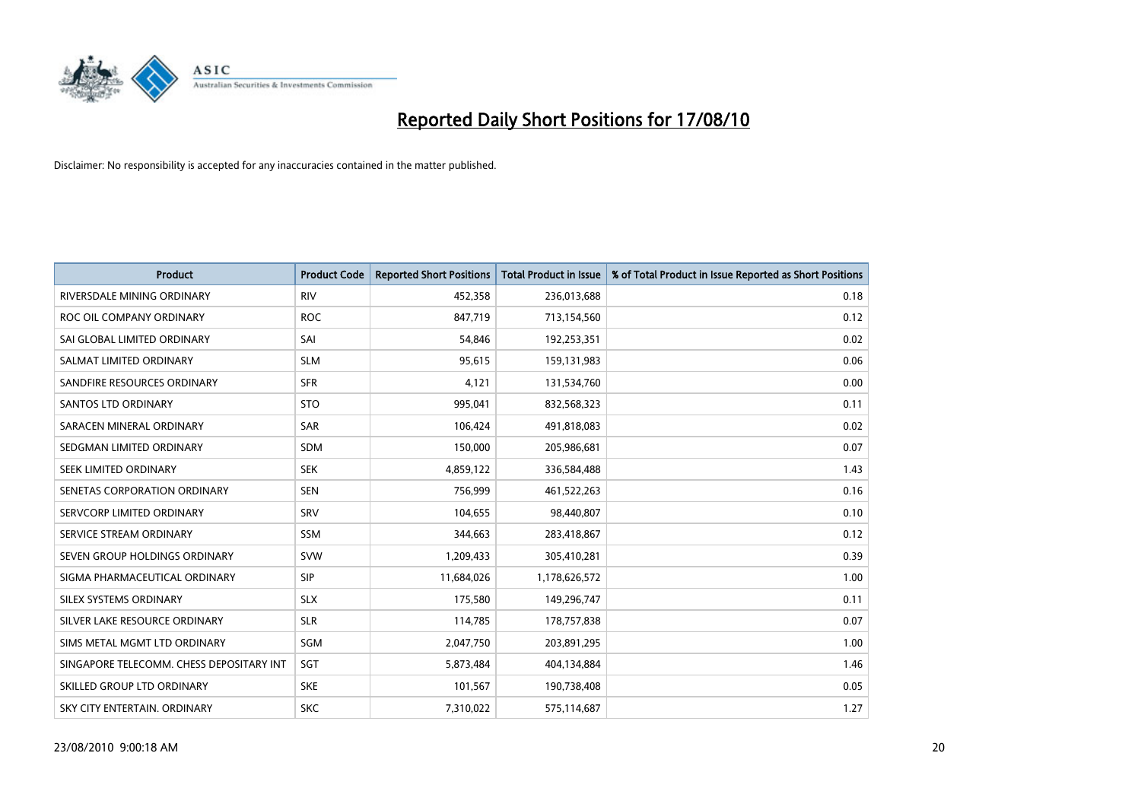

| <b>Product</b>                           | <b>Product Code</b> | <b>Reported Short Positions</b> | <b>Total Product in Issue</b> | % of Total Product in Issue Reported as Short Positions |
|------------------------------------------|---------------------|---------------------------------|-------------------------------|---------------------------------------------------------|
| RIVERSDALE MINING ORDINARY               | <b>RIV</b>          | 452,358                         | 236,013,688                   | 0.18                                                    |
| ROC OIL COMPANY ORDINARY                 | <b>ROC</b>          | 847,719                         | 713,154,560                   | 0.12                                                    |
| SAI GLOBAL LIMITED ORDINARY              | SAI                 | 54,846                          | 192,253,351                   | 0.02                                                    |
| SALMAT LIMITED ORDINARY                  | <b>SLM</b>          | 95,615                          | 159,131,983                   | 0.06                                                    |
| SANDFIRE RESOURCES ORDINARY              | <b>SFR</b>          | 4,121                           | 131,534,760                   | 0.00                                                    |
| SANTOS LTD ORDINARY                      | <b>STO</b>          | 995,041                         | 832,568,323                   | 0.11                                                    |
| SARACEN MINERAL ORDINARY                 | <b>SAR</b>          | 106,424                         | 491,818,083                   | 0.02                                                    |
| SEDGMAN LIMITED ORDINARY                 | <b>SDM</b>          | 150,000                         | 205,986,681                   | 0.07                                                    |
| SEEK LIMITED ORDINARY                    | <b>SEK</b>          | 4,859,122                       | 336,584,488                   | 1.43                                                    |
| SENETAS CORPORATION ORDINARY             | <b>SEN</b>          | 756,999                         | 461,522,263                   | 0.16                                                    |
| SERVCORP LIMITED ORDINARY                | SRV                 | 104,655                         | 98,440,807                    | 0.10                                                    |
| SERVICE STREAM ORDINARY                  | <b>SSM</b>          | 344,663                         | 283,418,867                   | 0.12                                                    |
| SEVEN GROUP HOLDINGS ORDINARY            | <b>SVW</b>          | 1,209,433                       | 305,410,281                   | 0.39                                                    |
| SIGMA PHARMACEUTICAL ORDINARY            | SIP                 | 11,684,026                      | 1,178,626,572                 | 1.00                                                    |
| SILEX SYSTEMS ORDINARY                   | <b>SLX</b>          | 175,580                         | 149,296,747                   | 0.11                                                    |
| SILVER LAKE RESOURCE ORDINARY            | <b>SLR</b>          | 114,785                         | 178,757,838                   | 0.07                                                    |
| SIMS METAL MGMT LTD ORDINARY             | SGM                 | 2,047,750                       | 203,891,295                   | 1.00                                                    |
| SINGAPORE TELECOMM. CHESS DEPOSITARY INT | SGT                 | 5,873,484                       | 404,134,884                   | 1.46                                                    |
| SKILLED GROUP LTD ORDINARY               | <b>SKE</b>          | 101,567                         | 190,738,408                   | 0.05                                                    |
| SKY CITY ENTERTAIN. ORDINARY             | <b>SKC</b>          | 7,310,022                       | 575,114,687                   | 1.27                                                    |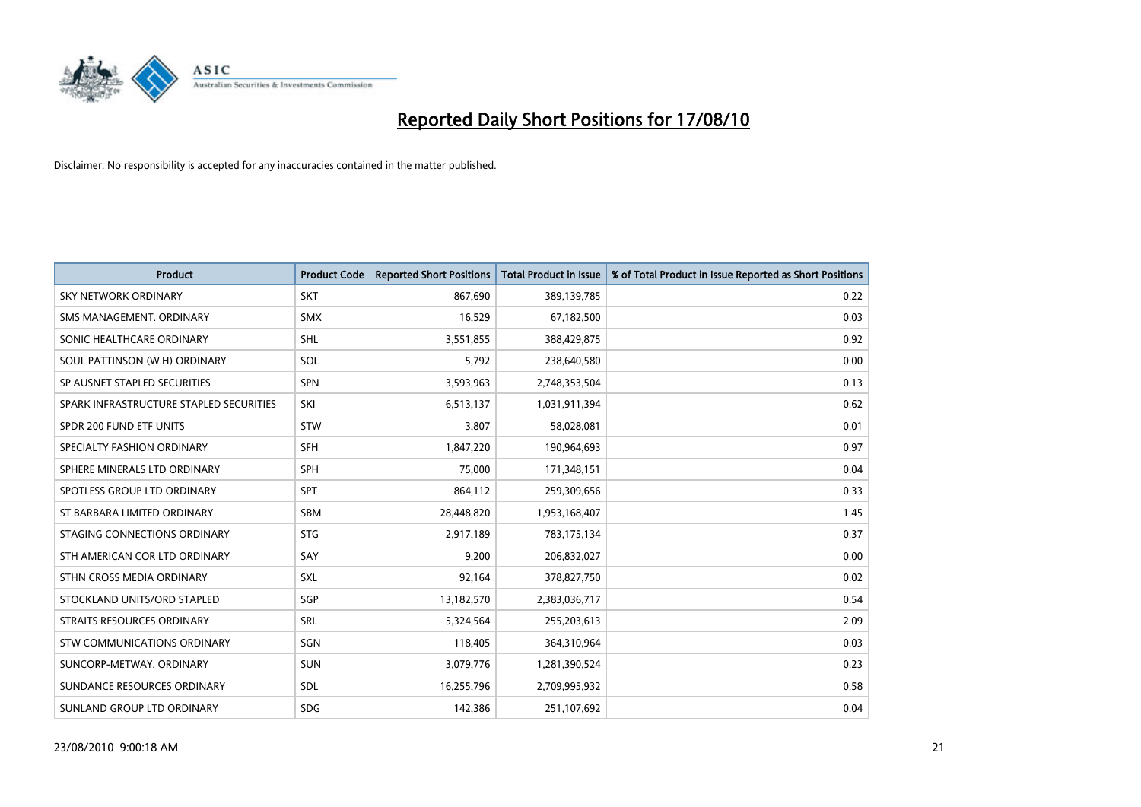

| <b>Product</b>                          | <b>Product Code</b> | <b>Reported Short Positions</b> | <b>Total Product in Issue</b> | % of Total Product in Issue Reported as Short Positions |
|-----------------------------------------|---------------------|---------------------------------|-------------------------------|---------------------------------------------------------|
| <b>SKY NETWORK ORDINARY</b>             | <b>SKT</b>          | 867,690                         | 389,139,785                   | 0.22                                                    |
| SMS MANAGEMENT. ORDINARY                | <b>SMX</b>          | 16,529                          | 67,182,500                    | 0.03                                                    |
| SONIC HEALTHCARE ORDINARY               | <b>SHL</b>          | 3,551,855                       | 388,429,875                   | 0.92                                                    |
| SOUL PATTINSON (W.H) ORDINARY           | SOL                 | 5,792                           | 238,640,580                   | 0.00                                                    |
| SP AUSNET STAPLED SECURITIES            | <b>SPN</b>          | 3,593,963                       | 2,748,353,504                 | 0.13                                                    |
| SPARK INFRASTRUCTURE STAPLED SECURITIES | SKI                 | 6,513,137                       | 1,031,911,394                 | 0.62                                                    |
| SPDR 200 FUND ETF UNITS                 | <b>STW</b>          | 3,807                           | 58,028,081                    | 0.01                                                    |
| SPECIALTY FASHION ORDINARY              | SFH                 | 1,847,220                       | 190,964,693                   | 0.97                                                    |
| SPHERE MINERALS LTD ORDINARY            | <b>SPH</b>          | 75,000                          | 171,348,151                   | 0.04                                                    |
| SPOTLESS GROUP LTD ORDINARY             | <b>SPT</b>          | 864,112                         | 259,309,656                   | 0.33                                                    |
| ST BARBARA LIMITED ORDINARY             | <b>SBM</b>          | 28,448,820                      | 1,953,168,407                 | 1.45                                                    |
| STAGING CONNECTIONS ORDINARY            | <b>STG</b>          | 2,917,189                       | 783,175,134                   | 0.37                                                    |
| STH AMERICAN COR LTD ORDINARY           | SAY                 | 9,200                           | 206,832,027                   | 0.00                                                    |
| STHN CROSS MEDIA ORDINARY               | SXL                 | 92,164                          | 378,827,750                   | 0.02                                                    |
| STOCKLAND UNITS/ORD STAPLED             | SGP                 | 13,182,570                      | 2,383,036,717                 | 0.54                                                    |
| STRAITS RESOURCES ORDINARY              | SRL                 | 5,324,564                       | 255,203,613                   | 2.09                                                    |
| STW COMMUNICATIONS ORDINARY             | SGN                 | 118,405                         | 364,310,964                   | 0.03                                                    |
| SUNCORP-METWAY, ORDINARY                | <b>SUN</b>          | 3,079,776                       | 1,281,390,524                 | 0.23                                                    |
| SUNDANCE RESOURCES ORDINARY             | <b>SDL</b>          | 16,255,796                      | 2,709,995,932                 | 0.58                                                    |
| SUNLAND GROUP LTD ORDINARY              | <b>SDG</b>          | 142,386                         | 251,107,692                   | 0.04                                                    |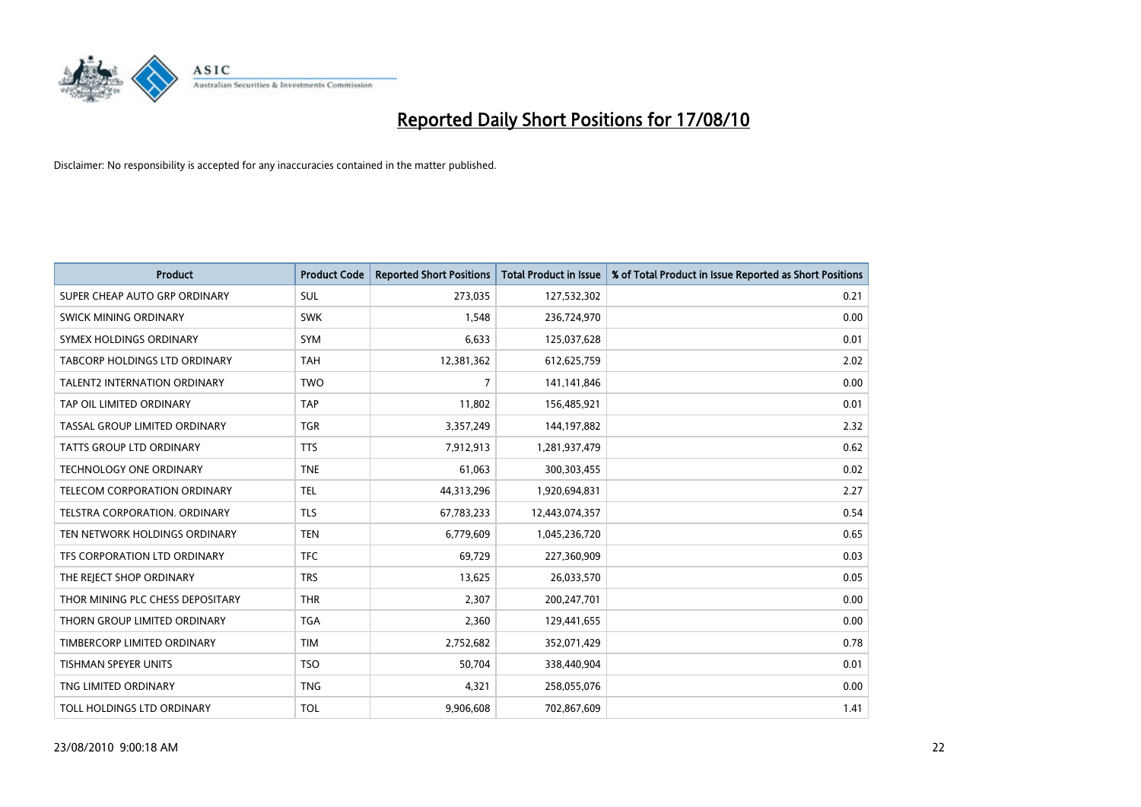

| <b>Product</b>                      | <b>Product Code</b> | <b>Reported Short Positions</b> | <b>Total Product in Issue</b> | % of Total Product in Issue Reported as Short Positions |
|-------------------------------------|---------------------|---------------------------------|-------------------------------|---------------------------------------------------------|
| SUPER CHEAP AUTO GRP ORDINARY       | <b>SUL</b>          | 273,035                         | 127,532,302                   | 0.21                                                    |
| SWICK MINING ORDINARY               | <b>SWK</b>          | 1,548                           | 236,724,970                   | 0.00                                                    |
| SYMEX HOLDINGS ORDINARY             | SYM                 | 6,633                           | 125,037,628                   | 0.01                                                    |
| TABCORP HOLDINGS LTD ORDINARY       | <b>TAH</b>          | 12,381,362                      | 612,625,759                   | 2.02                                                    |
| <b>TALENT2 INTERNATION ORDINARY</b> | <b>TWO</b>          | 7                               | 141,141,846                   | 0.00                                                    |
| TAP OIL LIMITED ORDINARY            | <b>TAP</b>          | 11,802                          | 156,485,921                   | 0.01                                                    |
| TASSAL GROUP LIMITED ORDINARY       | <b>TGR</b>          | 3,357,249                       | 144,197,882                   | 2.32                                                    |
| TATTS GROUP LTD ORDINARY            | <b>TTS</b>          | 7,912,913                       | 1,281,937,479                 | 0.62                                                    |
| TECHNOLOGY ONE ORDINARY             | <b>TNE</b>          | 61,063                          | 300,303,455                   | 0.02                                                    |
| TELECOM CORPORATION ORDINARY        | <b>TEL</b>          | 44,313,296                      | 1,920,694,831                 | 2.27                                                    |
| TELSTRA CORPORATION. ORDINARY       | <b>TLS</b>          | 67,783,233                      | 12,443,074,357                | 0.54                                                    |
| TEN NETWORK HOLDINGS ORDINARY       | <b>TEN</b>          | 6,779,609                       | 1,045,236,720                 | 0.65                                                    |
| TFS CORPORATION LTD ORDINARY        | <b>TFC</b>          | 69,729                          | 227,360,909                   | 0.03                                                    |
| THE REJECT SHOP ORDINARY            | <b>TRS</b>          | 13,625                          | 26,033,570                    | 0.05                                                    |
| THOR MINING PLC CHESS DEPOSITARY    | <b>THR</b>          | 2,307                           | 200,247,701                   | 0.00                                                    |
| THORN GROUP LIMITED ORDINARY        | <b>TGA</b>          | 2,360                           | 129,441,655                   | 0.00                                                    |
| TIMBERCORP LIMITED ORDINARY         | <b>TIM</b>          | 2,752,682                       | 352,071,429                   | 0.78                                                    |
| TISHMAN SPEYER UNITS                | <b>TSO</b>          | 50,704                          | 338,440,904                   | 0.01                                                    |
| TNG LIMITED ORDINARY                | <b>TNG</b>          | 4,321                           | 258,055,076                   | 0.00                                                    |
| TOLL HOLDINGS LTD ORDINARY          | <b>TOL</b>          | 9,906,608                       | 702,867,609                   | 1.41                                                    |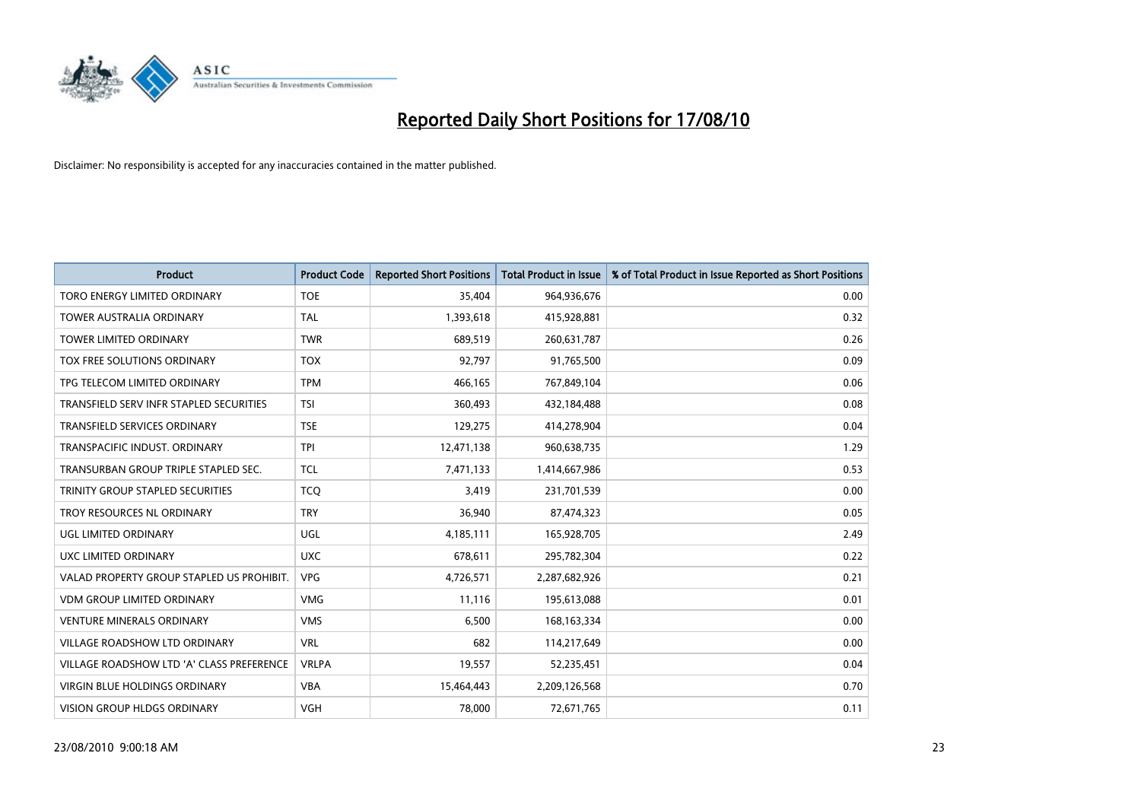

| <b>Product</b>                            | <b>Product Code</b> | <b>Reported Short Positions</b> | Total Product in Issue | % of Total Product in Issue Reported as Short Positions |
|-------------------------------------------|---------------------|---------------------------------|------------------------|---------------------------------------------------------|
| TORO ENERGY LIMITED ORDINARY              | <b>TOE</b>          | 35.404                          | 964,936,676            | 0.00                                                    |
| <b>TOWER AUSTRALIA ORDINARY</b>           | <b>TAL</b>          | 1,393,618                       | 415,928,881            | 0.32                                                    |
| <b>TOWER LIMITED ORDINARY</b>             | <b>TWR</b>          | 689,519                         | 260,631,787            | 0.26                                                    |
| TOX FREE SOLUTIONS ORDINARY               | <b>TOX</b>          | 92,797                          | 91,765,500             | 0.09                                                    |
| TPG TELECOM LIMITED ORDINARY              | <b>TPM</b>          | 466,165                         | 767,849,104            | 0.06                                                    |
| TRANSFIELD SERV INFR STAPLED SECURITIES   | <b>TSI</b>          | 360,493                         | 432,184,488            | 0.08                                                    |
| TRANSFIELD SERVICES ORDINARY              | <b>TSE</b>          | 129,275                         | 414,278,904            | 0.04                                                    |
| TRANSPACIFIC INDUST, ORDINARY             | <b>TPI</b>          | 12,471,138                      | 960,638,735            | 1.29                                                    |
| TRANSURBAN GROUP TRIPLE STAPLED SEC.      | <b>TCL</b>          | 7,471,133                       | 1,414,667,986          | 0.53                                                    |
| TRINITY GROUP STAPLED SECURITIES          | <b>TCO</b>          | 3,419                           | 231,701,539            | 0.00                                                    |
| TROY RESOURCES NL ORDINARY                | <b>TRY</b>          | 36,940                          | 87,474,323             | 0.05                                                    |
| UGL LIMITED ORDINARY                      | UGL                 | 4,185,111                       | 165,928,705            | 2.49                                                    |
| UXC LIMITED ORDINARY                      | <b>UXC</b>          | 678,611                         | 295,782,304            | 0.22                                                    |
| VALAD PROPERTY GROUP STAPLED US PROHIBIT. | <b>VPG</b>          | 4,726,571                       | 2,287,682,926          | 0.21                                                    |
| <b>VDM GROUP LIMITED ORDINARY</b>         | <b>VMG</b>          | 11.116                          | 195,613,088            | 0.01                                                    |
| <b>VENTURE MINERALS ORDINARY</b>          | <b>VMS</b>          | 6,500                           | 168, 163, 334          | 0.00                                                    |
| VILLAGE ROADSHOW LTD ORDINARY             | <b>VRL</b>          | 682                             | 114,217,649            | 0.00                                                    |
| VILLAGE ROADSHOW LTD 'A' CLASS PREFERENCE | <b>VRLPA</b>        | 19,557                          | 52,235,451             | 0.04                                                    |
| <b>VIRGIN BLUE HOLDINGS ORDINARY</b>      | <b>VBA</b>          | 15,464,443                      | 2,209,126,568          | 0.70                                                    |
| VISION GROUP HLDGS ORDINARY               | <b>VGH</b>          | 78,000                          | 72,671,765             | 0.11                                                    |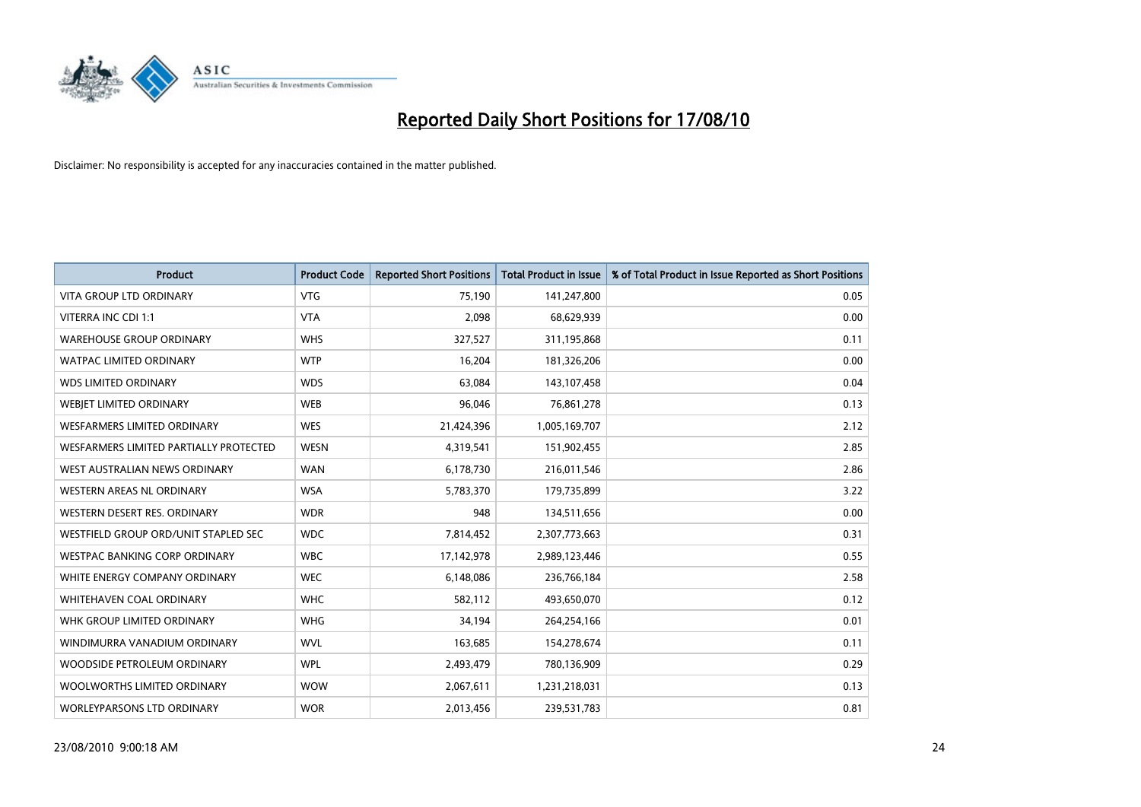

| <b>Product</b>                         | <b>Product Code</b> | <b>Reported Short Positions</b> | Total Product in Issue | % of Total Product in Issue Reported as Short Positions |
|----------------------------------------|---------------------|---------------------------------|------------------------|---------------------------------------------------------|
| <b>VITA GROUP LTD ORDINARY</b>         | <b>VTG</b>          | 75,190                          | 141,247,800            | 0.05                                                    |
| VITERRA INC CDI 1:1                    | <b>VTA</b>          | 2,098                           | 68,629,939             | 0.00                                                    |
| <b>WAREHOUSE GROUP ORDINARY</b>        | <b>WHS</b>          | 327,527                         | 311,195,868            | 0.11                                                    |
| <b>WATPAC LIMITED ORDINARY</b>         | <b>WTP</b>          | 16,204                          | 181,326,206            | 0.00                                                    |
| <b>WDS LIMITED ORDINARY</b>            | <b>WDS</b>          | 63,084                          | 143,107,458            | 0.04                                                    |
| WEBIET LIMITED ORDINARY                | <b>WEB</b>          | 96,046                          | 76,861,278             | 0.13                                                    |
| <b>WESFARMERS LIMITED ORDINARY</b>     | <b>WES</b>          | 21,424,396                      | 1,005,169,707          | 2.12                                                    |
| WESFARMERS LIMITED PARTIALLY PROTECTED | <b>WESN</b>         | 4,319,541                       | 151,902,455            | 2.85                                                    |
| WEST AUSTRALIAN NEWS ORDINARY          | <b>WAN</b>          | 6,178,730                       | 216,011,546            | 2.86                                                    |
| WESTERN AREAS NL ORDINARY              | <b>WSA</b>          | 5,783,370                       | 179,735,899            | 3.22                                                    |
| WESTERN DESERT RES. ORDINARY           | <b>WDR</b>          | 948                             | 134,511,656            | 0.00                                                    |
| WESTFIELD GROUP ORD/UNIT STAPLED SEC   | <b>WDC</b>          | 7,814,452                       | 2,307,773,663          | 0.31                                                    |
| WESTPAC BANKING CORP ORDINARY          | <b>WBC</b>          | 17,142,978                      | 2,989,123,446          | 0.55                                                    |
| WHITE ENERGY COMPANY ORDINARY          | <b>WEC</b>          | 6,148,086                       | 236,766,184            | 2.58                                                    |
| WHITEHAVEN COAL ORDINARY               | <b>WHC</b>          | 582,112                         | 493,650,070            | 0.12                                                    |
| WHK GROUP LIMITED ORDINARY             | <b>WHG</b>          | 34,194                          | 264,254,166            | 0.01                                                    |
| WINDIMURRA VANADIUM ORDINARY           | <b>WVL</b>          | 163,685                         | 154,278,674            | 0.11                                                    |
| WOODSIDE PETROLEUM ORDINARY            | <b>WPL</b>          | 2,493,479                       | 780,136,909            | 0.29                                                    |
| WOOLWORTHS LIMITED ORDINARY            | <b>WOW</b>          | 2,067,611                       | 1,231,218,031          | 0.13                                                    |
| <b>WORLEYPARSONS LTD ORDINARY</b>      | <b>WOR</b>          | 2,013,456                       | 239,531,783            | 0.81                                                    |